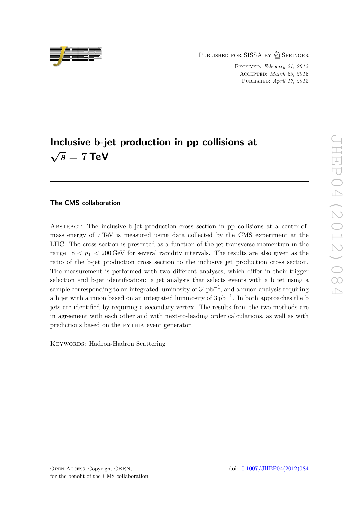PUBLISHED FOR SISSA BY 2 SPRINGER

Received: February 21, 2012 Accepted: March 23, 2012 PUBLISHED: April 17, 2012

# Inclusive b-jet production in pp collisions at  $\sqrt{s} = 7$  TeV

### The CMS collaboration

Abstract: The inclusive b-jet production cross section in pp collisions at a center-ofmass energy of 7 TeV is measured using data collected by the CMS experiment at the LHC. The cross section is presented as a function of the jet transverse momentum in the range  $18 < p_T < 200$  GeV for several rapidity intervals. The results are also given as the ratio of the b-jet production cross section to the inclusive jet production cross section. The measurement is performed with two different analyses, which differ in their trigger selection and b-jet identification: a jet analysis that selects events with a b jet using a sample corresponding to an integrated luminosity of  $34\,{\rm pb}^{-1},$  and a muon analysis requiring a b jet with a muon based on an integrated luminosity of  $3\,\mathrm{pb}^{-1}$ . In both approaches the b jets are identified by requiring a secondary vertex. The results from the two methods are in agreement with each other and with next-to-leading order calculations, as well as with predictions based on the pythia event generator.

KEYWORDS: Hadron-Hadron Scattering

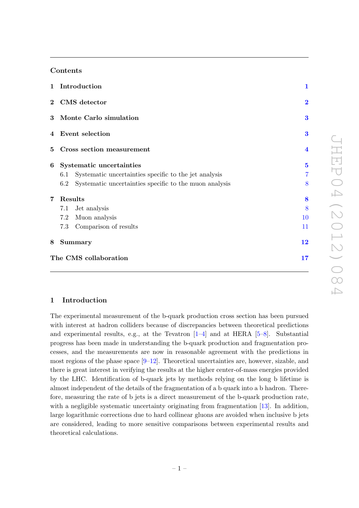### Contents

|   | 1 Introduction                                                |                         |  |  |
|---|---------------------------------------------------------------|-------------------------|--|--|
|   | 2 CMS detector                                                |                         |  |  |
|   | 3 Monte Carlo simulation                                      |                         |  |  |
|   | 4 Event selection                                             | 3                       |  |  |
| 5 | Cross section measurement                                     | $\overline{\mathbf{4}}$ |  |  |
|   | 6 Systematic uncertainties                                    |                         |  |  |
|   | Systematic uncertainties specific to the jet analysis<br>6.1  | 7                       |  |  |
|   | 6.2<br>Systematic uncertainties specific to the muon analysis | 8                       |  |  |
| 7 | Results                                                       |                         |  |  |
|   | Jet analysis<br>7.1                                           | 8                       |  |  |
|   | 7.2<br>Muon analysis                                          | 10                      |  |  |
|   | Comparison of results<br>7.3                                  | 11                      |  |  |
| 8 | Summary                                                       | 12                      |  |  |
|   | The CMS collaboration                                         | 17                      |  |  |

### <span id="page-1-0"></span>1 Introduction

The experimental measurement of the b-quark production cross section has been pursued with interest at hadron colliders because of discrepancies between theoretical predictions and experimental results, e.g., at the Tevatron  $[1-4]$  $[1-4]$  and at HERA  $[5-8]$  $[5-8]$ . Substantial progress has been made in understanding the b-quark production and fragmentation processes, and the measurements are now in reasonable agreement with the predictions in most regions of the phase space [\[9–](#page-15-0)[12\]](#page-15-1). Theoretical uncertainties are, however, sizable, and there is great interest in verifying the results at the higher center-of-mass energies provided by the LHC. Identification of b-quark jets by methods relying on the long b lifetime is almost independent of the details of the fragmentation of a b quark into a b hadron. Therefore, measuring the rate of b jets is a direct measurement of the b-quark production rate, with a negligible systematic uncertainty originating from fragmentation [\[13\]](#page-15-2). In addition, large logarithmic corrections due to hard collinear gluons are avoided when inclusive b jets are considered, leading to more sensitive comparisons between experimental results and theoretical calculations.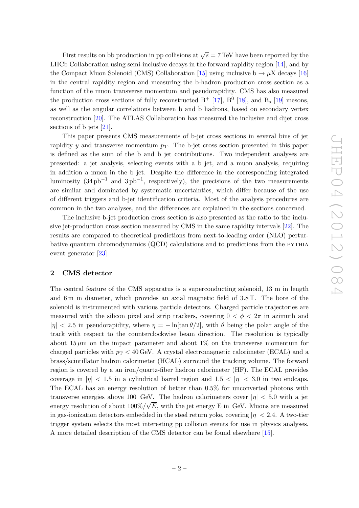First results on  $\overline{b}$  production in pp collisions at  $\sqrt{s} = 7$  TeV have been reported by the LHCb Collaboration using semi-inclusive decays in the forward rapidity region [\[14\]](#page-15-3), and by the Compact Muon Solenoid (CMS) Collaboration [\[15\]](#page-15-4) using inclusive b  $\rightarrow \mu X$  decays [\[16\]](#page-15-5) in the central rapidity region and measuring the b-hadron production cross section as a function of the muon transverse momentum and pseudorapidity. CMS has also measured the production cross sections of fully reconstructed  $B^+$  [\[17\]](#page-15-6),  $B^0$  [\[18\]](#page-15-7), and  $B_s$  [\[19\]](#page-15-8) mesons, as well as the angular correlations between b and  $\overline{b}$  hadrons, based on secondary vertex reconstruction [\[20\]](#page-15-9). The ATLAS Collaboration has measured the inclusive and dijet cross sections of b jets [\[21\]](#page-15-10).

This paper presents CMS measurements of b-jet cross sections in several bins of jet rapidity y and transverse momentum  $p<sub>T</sub>$ . The b-jet cross section presented in this paper is defined as the sum of the b and b jet contributions. Two independent analyses are presented: a jet analysis, selecting events with a b jet, and a muon analysis, requiring in addition a muon in the b jet. Despite the difference in the corresponding integrated luminosity  $(34 \text{ pb}^{-1}$  and  $3 \text{ pb}^{-1}$ , respectively), the precisions of the two measurements are similar and dominated by systematic uncertainties, which differ because of the use of different triggers and b-jet identification criteria. Most of the analysis procedures are common in the two analyses, and the differences are explained in the sections concerned.

The inclusive b-jet production cross section is also presented as the ratio to the inclusive jet-production cross section measured by CMS in the same rapidity intervals [\[22\]](#page-15-11). The results are compared to theoretical predictions from next-to-leading order (NLO) perturbative quantum chromodynamics (QCD) calculations and to predictions from the PYTHIA event generator [\[23\]](#page-15-12).

### <span id="page-2-0"></span>2 CMS detector

The central feature of the CMS apparatus is a superconducting solenoid, 13 m in length and 6 m in diameter, which provides an axial magnetic field of 3.8 T. The bore of the solenoid is instrumented with various particle detectors. Charged particle trajectories are measured with the silicon pixel and strip trackers, covering  $0 < \phi < 2\pi$  in azimuth and  $|\eta|$  < 2.5 in pseudorapidity, where  $\eta = -\ln[\tan \theta/2]$ , with  $\theta$  being the polar angle of the track with respect to the counterclockwise beam direction. The resolution is typically about 15  $\mu$ m on the impact parameter and about 1\% on the transverse momentum for charged particles with  $p_T < 40$  GeV. A crystal electromagnetic calorimeter (ECAL) and a brass/scintillator hadron calorimeter (HCAL) surround the tracking volume. The forward region is covered by a an iron/quartz-fiber hadron calorimeter (HF). The ECAL provides coverage in  $|\eta| < 1.5$  in a cylindrical barrel region and  $1.5 < |\eta| < 3.0$  in two endcaps. The ECAL has an energy resolution of better than 0.5% for unconverted photons with transverse energies above 100 GeV. The hadron calorimeters cover  $|\eta| < 5.0$  with a jet energy resolution of about  $100\%/\sqrt{E}$ , with the jet energy E in GeV. Muons are measured in gas-ionization detectors embedded in the steel return yoke, covering  $|\eta| < 2.4$ . A two-tier trigger system selects the most interesting pp collision events for use in physics analyses. A more detailed description of the CMS detector can be found elsewhere [\[15\]](#page-15-4).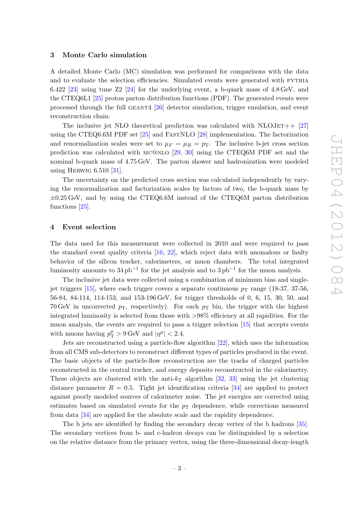#### <span id="page-3-0"></span>3 Monte Carlo simulation

A detailed Monte Carlo (MC) simulation was performed for comparisons with the data and to evaluate the selection efficiencies. Simulated events were generated with PYTHIA 6.422 [\[23\]](#page-15-12) using tune Z2 [\[24\]](#page-15-13) for the underlying event, a b-quark mass of 4.8 GeV, and the CTEQ6L1 [\[25\]](#page-15-14) proton parton distribution functions (PDF). The generated events were processed through the full GEANT4  $[26]$  detector simulation, trigger emulation, and event reconstruction chain.

The inclusive jet NLO theoretical prediction was calculated with  $NLOJET++ [27]$  $NLOJET++ [27]$ using the CTEQ6.6M PDF set [\[25\]](#page-15-14) and FastNLO [\[28\]](#page-16-1) implementation. The factorization and renormalization scales were set to  $\mu_F = \mu_R = p_T$ . The inclusive b-jet cross section prediction was calculated with mc@nlo [\[29,](#page-16-2) [30\]](#page-16-3) using the CTEQ6M PDF set and the nominal b-quark mass of 4.75 GeV. The parton shower and hadronization were modeled using HERWIG  $6.510$  [\[31\]](#page-16-4).

The uncertainty on the predicted cross section was calculated independently by varying the renormalization and factorization scales by factors of two, the b-quark mass by  $\pm 0.25$  GeV, and by using the CTEQ6.6M instead of the CTEQ6M parton distribution functions [\[25\]](#page-15-14).

### <span id="page-3-1"></span>4 Event selection

The data used for this measurement were collected in 2010 and were required to pass the standard event quality criteria [\[16,](#page-15-5) [22\]](#page-15-11), which reject data with anomalous or faulty behavior of the silicon tracker, calorimeters, or muon chambers. The total integrated luminosity amounts to  $34 \text{ pb}^{-1}$  for the jet analysis and to  $3 \text{ pb}^{-1}$  for the muon analysis.

The inclusive jet data were collected using a combination of minimum bias and single-jet triggers [\[15\]](#page-15-4), where each trigger covers a separate continuous  $p<sub>T</sub>$  range (18-37, 37-56, 56-84, 84-114, 114-153, and 153-196 GeV, for trigger thresholds of 0, 6, 15, 30, 50, and 70 GeV in uncorrected  $p_T$ , respectively). For each  $p_T$  bin, the trigger with the highest integrated luminosity is selected from those with >98% efficiency at all rapidities. For the muon analysis, the events are required to pass a trigger selection [\[15\]](#page-15-4) that accepts events with muons having  $p_T^{\mu} > 9 \,\text{GeV}$  and  $|\eta^{\mu}| < 2.4$ .

Jets are reconstructed using a particle-flow algorithm [\[22\]](#page-15-11), which uses the information from all CMS sub-detectors to reconstruct different types of particles produced in the event. The basic objects of the particle-flow reconstruction are the tracks of charged particles reconstructed in the central tracker, and energy deposits reconstructed in the calorimetry. These objects are clustered with the anti- $k_T$  algorithm [\[32,](#page-16-5) [33\]](#page-16-6) using the jet clustering distance parameter  $R = 0.5$ . Tight jet identification criteria [\[34\]](#page-16-7) are applied to protect against poorly modeled sources of calorimeter noise. The jet energies are corrected using estimates based on simulated events for the  $p_T$  dependence, while corrections measured from data [\[34\]](#page-16-7) are applied for the absolute scale and the rapidity dependence.

The b jets are identified by finding the secondary decay vertex of the b hadrons [\[35\]](#page-16-8). The secondary vertices from b- and c-hadron decays can be distinguished by a selection on the relative distance from the primary vertex, using the three-dimensional decay-length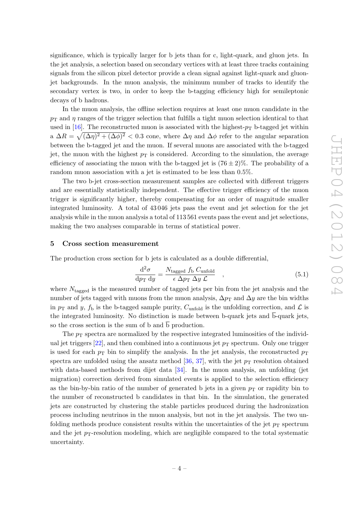significance, which is typically larger for b jets than for c, light-quark, and gluon jets. In the jet analysis, a selection based on secondary vertices with at least three tracks containing signals from the silicon pixel detector provide a clean signal against light-quark and gluonjet backgrounds. In the muon analysis, the minimum number of tracks to identify the secondary vertex is two, in order to keep the b-tagging efficiency high for semileptonic decays of b hadrons.

In the muon analysis, the offline selection requires at least one muon candidate in the  $p<sub>T</sub>$  and  $\eta$  ranges of the trigger selection that fulfills a tight muon selection identical to that used in [\[16\]](#page-15-5). The reconstructed muon is associated with the highest- $p_T$  b-tagged jet within a  $\Delta R = \sqrt{(\Delta \eta)^2 + (\Delta \phi)^2} < 0.3$  cone, where  $\Delta \eta$  and  $\Delta \phi$  refer to the angular separation between the b-tagged jet and the muon. If several muons are associated with the b-tagged jet, the muon with the highest  $p<sub>T</sub>$  is considered. According to the simulation, the average efficiency of associating the muon with the b-tagged jet is  $(76 \pm 2)\%$ . The probability of a random muon association with a jet is estimated to be less than 0.5%.

The two b-jet cross-section measurement samples are collected with different triggers and are essentially statistically independent. The effective trigger efficiency of the muon trigger is significantly higher, thereby compensating for an order of magnitude smaller integrated luminosity. A total of 43 046 jets pass the event and jet selection for the jet analysis while in the muon analysis a total of 113 561 events pass the event and jet selections, making the two analyses comparable in terms of statistical power.

#### <span id="page-4-0"></span>5 Cross section measurement

The production cross section for b jets is calculated as a double differential,

$$
\frac{\mathrm{d}^2 \sigma}{\mathrm{d}p_{\mathrm{T}} \mathrm{d}y} = \frac{N_{\mathrm{tagged}} f_{\mathrm{b}} C_{\mathrm{unfold}}}{\epsilon \Delta p_{\mathrm{T}} \Delta y \mathcal{L}} , \qquad (5.1)
$$

where  $N_{\text{tagged}}$  is the measured number of tagged jets per bin from the jet analysis and the number of jets tagged with muons from the muon analysis,  $\Delta p_T$  and  $\Delta y$  are the bin widths in  $p_T$  and y,  $f_b$  is the b-tagged sample purity,  $C_{unfold}$  is the unfolding correction, and  $\mathcal L$  is the integrated luminosity. No distinction is made between b-quark jets and  $\overline{b}$ -quark jets, so the cross section is the sum of b and b production.

The  $p<sub>T</sub>$  spectra are normalized by the respective integrated luminosities of the individual jet triggers  $[22]$ , and then combined into a continuous jet  $p<sub>T</sub>$  spectrum. Only one trigger is used for each  $p<sub>T</sub>$  bin to simplify the analysis. In the jet analysis, the reconstructed  $p<sub>T</sub>$ spectra are unfolded using the ansatz method [\[36,](#page-16-9) [37\]](#page-16-10), with the jet  $p_T$  resolution obtained with data-based methods from dijet data [\[34\]](#page-16-7). In the muon analysis, an unfolding (jet migration) correction derived from simulated events is applied to the selection efficiency as the bin-by-bin ratio of the number of generated b jets in a given  $p<sub>T</sub>$  or rapidity bin to the number of reconstructed b candidates in that bin. In the simulation, the generated jets are constructed by clustering the stable particles produced during the hadronization process including neutrinos in the muon analysis, but not in the jet analysis. The two unfolding methods produce consistent results within the uncertainties of the jet  $p_T$  spectrum and the jet  $p_T$ -resolution modeling, which are negligible compared to the total systematic uncertainty.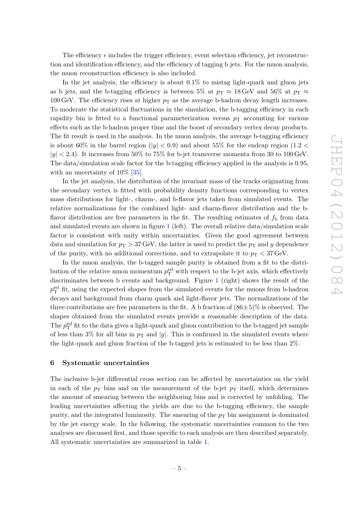The efficiency  $\epsilon$  includes the trigger efficiency, event selection efficiency, jet reconstruction and identification efficiency, and the efficiency of tagging b jets. For the muon analysis, the muon reconstruction efficiency is also included.

In the jet analysis, the efficiency is about  $0.1\%$  to mistag light-quark and gluon jets as b jets, and the b-tagging efficiency is between 5% at  $p_T \approx 18 \text{ GeV}$  and 56% at  $p_T \approx$ 100 GeV. The efficiency rises at higher  $p_T$  as the average b-hadron decay length increases. To moderate the statistical fluctuations in the simulation, the b-tagging efficiency in each rapidity bin is fitted to a functional parameterization versus  $p_T$  accounting for various effects such as the b-hadron proper time and the boost of secondary vertex decay products. The fit result is used in the analysis. In the muon analysis, the average b-tagging efficiency is about 60% in the barrel region ( $|y| < 0.9$ ) and about 55% for the endcap region (1.2 <  $|y| < 2.4$ ). It increases from 50% to 75% for b-jet transverse momenta from 30 to 100 GeV. The data/simulation scale factor for the b-tagging efficiency applied in the analysis is 0.95, with an uncertainty of  $10\%$  [\[35\]](#page-16-8).

In the jet analysis, the distribution of the invariant mass of the tracks originating from the secondary vertex is fitted with probability density functions corresponding to vertex mass distributions for light-, charm-, and b-flavor jets taken from simulated events. The relative normalizations for the combined light- and charm-flavor distribution and the bflavor distribution are free parameters in the fit. The resulting estimates of  $f<sub>b</sub>$  from data and simulated events are shown in figure  $1$  (left). The overall relative data/simulation scale factor is consistent with unity within uncertainties. Given the good agreement between data and simulation for  $p_T > 37$  GeV, the latter is used to predict the  $p_T$  and y dependence of the purity, with no additional corrections, and to extrapolate it to  $p_T < 37$  GeV.

In the muon analysis, the b-tagged sample purity is obtained from a fit to the distribution of the relative muon momentum  $p_T^{\text{rel}}$  with respect to the b-jet axis, which effectively discriminates between b events and background. Figure [1](#page-6-0) (right) shows the result of the  $p_T^{\text{rel}}$  fit, using the expected shapes from the simulated events for the muons from b-hadron decays and background from charm quark and light-flavor jets. The normalizations of the three contributions are free parameters in the fit. A b fraction of  $(86\pm5)\%$  is observed. The shapes obtained from the simulated events provide a reasonable description of the data. The  $p_T^{\text{rel}}$  fit to the data gives a light-quark and gluon contribution to the b-tagged jet sample of less than 3% for all bins in  $p_T$  and |y|. This is confirmed in the simulated events where the light-quark and gluon fraction of the b-tagged jets is estimated to be less than 2%.

#### <span id="page-5-0"></span>6 Systematic uncertainties

The inclusive b-jet differential cross section can be affected by uncertainties on the yield in each of the  $p_{\rm T}$  bins and on the measurement of the b-jet  $p_{\rm T}$  itself, which determines the amount of smearing between the neighboring bins and is corrected by unfolding. The leading uncertainties affecting the yields are due to the b-tagging efficiency, the sample purity, and the integrated luminosity. The smearing of the  $p<sub>T</sub>$  bin assignment is dominated by the jet energy scale. In the following, the systematic uncertainties common to the two analyses are discussed first, and those specific to each analysis are then described separately. All systematic uncertainties are summarized in table [1.](#page-7-1)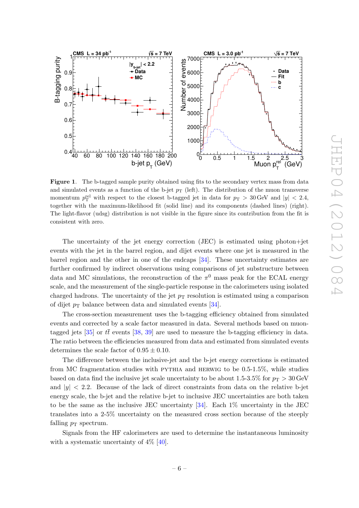

<span id="page-6-0"></span>Figure 1. The b-tagged sample purity obtained using fits to the secondary vertex mass from data and simulated events as a function of the b-jet  $p_T$  (left). The distribution of the muon transverse momentum  $p_T^{\text{rel}}$  with respect to the closest b-tagged jet in data for  $p_T > 30 \,\text{GeV}$  and  $|y| < 2.4$ , together with the maximum-likelihood fit (solid line) and its components (dashed lines) (right). The light-flavor (udsg) distribution is not visible in the figure since its contribution from the fit is consistent with zero.

The uncertainty of the jet energy correction (JEC) is estimated using photon+jet events with the jet in the barrel region, and dijet events where one jet is measured in the barrel region and the other in one of the endcaps [\[34\]](#page-16-7). These uncertainty estimates are further confirmed by indirect observations using comparisons of jet substructure between data and MC simulations, the reconstruction of the  $\pi^0$  mass peak for the ECAL energy scale, and the measurement of the single-particle response in the calorimeters using isolated charged hadrons. The uncertainty of the jet  $p<sub>T</sub>$  resolution is estimated using a comparison of dijet  $p_T$  balance between data and simulated events [\[34\]](#page-16-7).

The cross-section measurement uses the b-tagging efficiency obtained from simulated events and corrected by a scale factor measured in data. Several methods based on muon-tagged jets [\[35\]](#page-16-8) or  $t\bar{t}$  events [\[38,](#page-16-11) [39\]](#page-16-12) are used to measure the b-tagging efficiency in data. The ratio between the efficiencies measured from data and estimated from simulated events determines the scale factor of  $0.95 \pm 0.10$ .

The difference between the inclusive-jet and the b-jet energy corrections is estimated from MC fragmentation studies with PYTHIA and HERWIG to be  $0.5{\text -}1.5\%$ , while studies based on data find the inclusive jet scale uncertainty to be about 1.5-3.5% for  $p_T > 30$  GeV and  $|y| < 2.2$ . Because of the lack of direct constraints from data on the relative b-jet energy scale, the b-jet and the relative b-jet to inclusive JEC uncertainties are both taken to be the same as the inclusive JEC uncertainty [\[34\]](#page-16-7). Each 1% uncertainty in the JEC translates into a 2-5% uncertainty on the measured cross section because of the steeply falling  $p_T$  spectrum.

Signals from the HF calorimeters are used to determine the instantaneous luminosity with a systematic uncertainty of  $4\%$  [\[40\]](#page-16-13).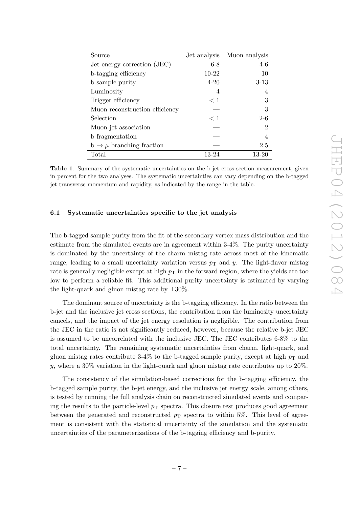| Source                                 | Jet analysis | Muon analysis |
|----------------------------------------|--------------|---------------|
| Jet energy correction (JEC)            | $6 - 8$      | $4-6$         |
| b-tagging efficiency                   | 10-22        | 10            |
| b sample purity                        | $4 - 20$     | $3-13$        |
| Luminosity                             | 4            | 4             |
| Trigger efficiency                     | $<$ 1        | 3             |
| Muon reconstruction efficiency         |              | 3             |
| Selection                              | $<$ 1        | $2 - 6$       |
| Muon-jet association                   |              | 2             |
| b fragmentation                        |              | 4             |
| $b \rightarrow \mu$ branching fraction |              | 2.5           |
| Total                                  | 13-24        | 13-20         |

<span id="page-7-1"></span>Table 1. Summary of the systematic uncertainties on the b-jet cross-section measurement, given in percent for the two analyses. The systematic uncertainties can vary depending on the b-tagged jet transverse momentum and rapidity, as indicated by the range in the table.

#### <span id="page-7-0"></span>6.1 Systematic uncertainties specific to the jet analysis

The b-tagged sample purity from the fit of the secondary vertex mass distribution and the estimate from the simulated events are in agreement within 3-4%. The purity uncertainty is dominated by the uncertainty of the charm mistag rate across most of the kinematic range, leading to a small uncertainty variation versus  $p_T$  and y. The light-flavor mistag rate is generally negligible except at high  $p<sub>T</sub>$  in the forward region, where the yields are too low to perform a reliable fit. This additional purity uncertainty is estimated by varying the light-quark and gluon mistag rate by  $\pm 30\%$ .

The dominant source of uncertainty is the b-tagging efficiency. In the ratio between the b-jet and the inclusive jet cross sections, the contribution from the luminosity uncertainty cancels, and the impact of the jet energy resolution is negligible. The contribution from the JEC in the ratio is not significantly reduced, however, because the relative b-jet JEC is assumed to be uncorrelated with the inclusive JEC. The JEC contributes 6-8% to the total uncertainty. The remaining systematic uncertainties from charm, light-quark, and gluon mistag rates contribute 3-4% to the b-tagged sample purity, except at high  $p_T$  and  $y$ , where a 30% variation in the light-quark and gluon mistag rate contributes up to 20%.

The consistency of the simulation-based corrections for the b-tagging efficiency, the b-tagged sample purity, the b-jet energy, and the inclusive jet energy scale, among others, is tested by running the full analysis chain on reconstructed simulated events and comparing the results to the particle-level  $p<sub>T</sub>$  spectra. This closure test produces good agreement between the generated and reconstructed  $p<sub>T</sub>$  spectra to within 5%. This level of agreement is consistent with the statistical uncertainty of the simulation and the systematic uncertainties of the parameterizations of the b-tagging efficiency and b-purity.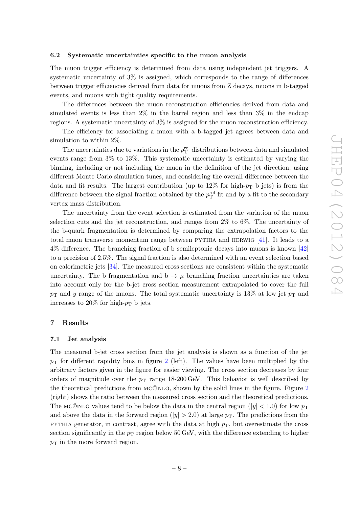#### <span id="page-8-0"></span>6.2 Systematic uncertainties specific to the muon analysis

The muon trigger efficiency is determined from data using independent jet triggers. A systematic uncertainty of 3% is assigned, which corresponds to the range of differences between trigger efficiencies derived from data for muons from Z decays, muons in b-tagged events, and muons with tight quality requirements.

The differences between the muon reconstruction efficiencies derived from data and simulated events is less than 2% in the barrel region and less than 3% in the endcap regions. A systematic uncertainty of 3% is assigned for the muon reconstruction efficiency.

The efficiency for associating a muon with a b-tagged jet agrees between data and simulation to within 2%.

The uncertainties due to variations in the  $p_T^{\text{rel}}$  distributions between data and simulated events range from 3% to 13%. This systematic uncertainty is estimated by varying the binning, including or not including the muon in the definition of the jet direction, using different Monte Carlo simulation tunes, and considering the overall difference between the data and fit results. The largest contribution (up to  $12\%$  for high- $p_T$  b jets) is from the difference between the signal fraction obtained by the  $p_T^{\text{rel}}$  fit and by a fit to the secondary vertex mass distribution.

The uncertainty from the event selection is estimated from the variation of the muon selection cuts and the jet reconstruction, and ranges from 2% to 6%. The uncertainty of the b-quark fragmentation is determined by comparing the extrapolation factors to the total muon transverse momentum range between PYTHIA and HERWIG  $[41]$ . It leads to a 4% difference. The branching fraction of b semileptonic decays into muons is known [\[42\]](#page-16-15) to a precision of 2.5%. The signal fraction is also determined with an event selection based on calorimetric jets [\[34\]](#page-16-7). The measured cross sections are consistent within the systematic uncertainty. The b fragmentation and b  $\rightarrow \mu$  branching fraction uncertainties are taken into account only for the b-jet cross section measurement extrapolated to cover the full  $p_{\rm T}$  and y range of the muons. The total systematic uncertainty is 13% at low jet  $p_{\rm T}$  and increases to 20% for high- $p_T$  b jets.

#### <span id="page-8-1"></span>7 Results

#### <span id="page-8-2"></span>7.1 Jet analysis

The measured b-jet cross section from the jet analysis is shown as a function of the jet  $p<sub>T</sub>$  for different rapidity bins in figure [2](#page-9-0) (left). The values have been multiplied by the arbitrary factors given in the figure for easier viewing. The cross section decreases by four orders of magnitude over the  $p_T$  range 18-200 GeV. This behavior is well described by the theoretical predictions from  $MC@NLO$ , shown by the solid lines in the figure. Figure [2](#page-9-0) (right) shows the ratio between the measured cross section and the theoretical predictions. The MC@NLO values tend to be below the data in the central region ( $|y| < 1.0$ ) for low  $p_T$ and above the data in the forward region ( $|y| > 2.0$ ) at large  $p<sub>T</sub>$ . The predictions from the PYTHIA generator, in contrast, agree with the data at high  $p<sub>T</sub>$ , but overestimate the cross section significantly in the  $p<sub>T</sub>$  region below 50 GeV, with the difference extending to higher  $p_T$  in the more forward region.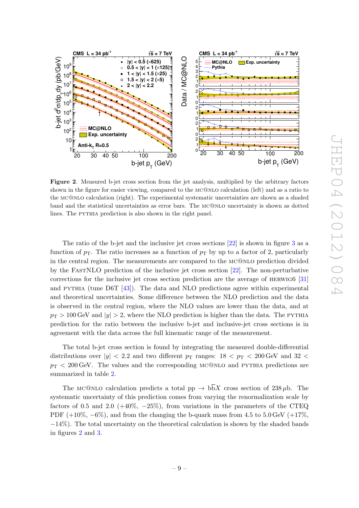

<span id="page-9-0"></span>Figure 2. Measured b-jet cross section from the jet analysis, multiplied by the arbitrary factors shown in the figure for easier viewing, compared to the MC@NLO calculation (left) and as a ratio to the mc@nlo calculation (right). The experimental systematic uncertainties are shown as a shaded band and the statistical uncertainties as error bars. The mc@nlo uncertainty is shown as dotted lines. The PYTHIA prediction is also shown in the right panel.

The ratio of the b-jet and the inclusive jet cross sections [\[22\]](#page-15-11) is shown in figure [3](#page-10-1) as a function of  $p_T$ . The ratio increases as a function of  $p_T$  by up to a factor of 2, particularly in the central region. The measurements are compared to the mc@nlo prediction divided by the FastNLO prediction of the inclusive jet cross section [\[22\]](#page-15-11). The non-perturbative corrections for the inclusive jet cross section prediction are the average of herwig6 [\[31\]](#page-16-4) and PYTHIA (tune D6T  $[43]$ ). The data and NLO predictions agree within experimental and theoretical uncertainties. Some difference between the NLO prediction and the data is observed in the central region, where the NLO values are lower than the data, and at  $p_{\rm T} > 100$  GeV and  $|y| > 2$ , where the NLO prediction is higher than the data. The PYTHIA prediction for the ratio between the inclusive b-jet and inclusive-jet cross sections is in agreement with the data across the full kinematic range of the measurement.

The total b-jet cross section is found by integrating the measured double-differential distributions over  $|y| < 2.2$  and two different  $p<sub>T</sub>$  ranges:  $18 < p<sub>T</sub> < 200$  GeV and  $32 <$  $p_{\rm T}$  < 200 GeV. The values and the corresponding MC@NLO and PYTHIA predictions are summarized in table [2.](#page-11-1)

The MC@NLO calculation predicts a total pp  $\rightarrow b\overline{b}X$  cross section of 238  $\mu$ b. The systematic uncertainty of this prediction comes from varying the renormalization scale by factors of 0.5 and 2.0 (+40%,  $-25\%$ ), from variations in the parameters of the CTEQ PDF  $(+10\%, -6\%)$ , and from the changing the b-quark mass from 4.5 to 5.0 GeV  $(+17\%$ , −14%). The total uncertainty on the theoretical calculation is shown by the shaded bands in figures [2](#page-9-0) and [3.](#page-10-1)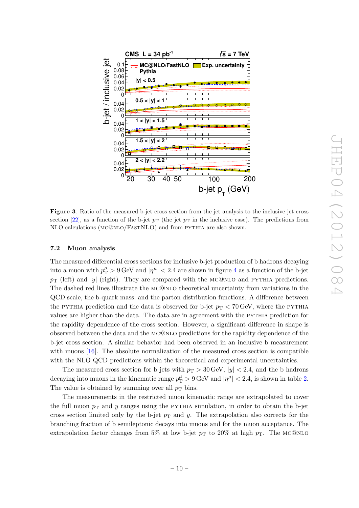

<span id="page-10-1"></span>Figure 3. Ratio of the measured b-jet cross section from the jet analysis to the inclusive jet cross section [\[22\]](#page-15-11), as a function of the b-jet  $p<sub>T</sub>$  (the jet  $p<sub>T</sub>$  in the inclusive case). The predictions from NLO calculations (MC@NLO/FASTNLO) and from PYTHIA are also shown.

#### <span id="page-10-0"></span>7.2 Muon analysis

The measured differential cross sections for inclusive b-jet production of b hadrons decaying into a muon with  $p_{\text{T}}^{\mu} > 9 \,\text{GeV}$  and  $|\eta^{\mu}| < 2.4$  $|\eta^{\mu}| < 2.4$  are shown in figure 4 as a function of the b-jet  $p_{\text{T}}$  (left) and |y| (right). They are compared with the MC@NLO and PYTHIA predictions. The dashed red lines illustrate the mc@nlo theoretical uncertainty from variations in the QCD scale, the b-quark mass, and the parton distribution functions. A difference between the PYTHIA prediction and the data is observed for b-jet  $p_T < 70$  GeV, where the PYTHIA values are higher than the data. The data are in agreement with the pythia prediction for the rapidity dependence of the cross section. However, a significant difference in shape is observed between the data and the mc@nlo predictions for the rapidity dependence of the b-jet cross section. A similar behavior had been observed in an inclusive b measurement with muons [\[16\]](#page-15-5). The absolute normalization of the measured cross section is compatible with the NLO QCD predictions within the theoretical and experimental uncertainties.

The measured cross section for b jets with  $p_T > 30$  GeV,  $|y| < 2.4$ , and the b hadrons decaying into muons in the kinematic range  $p_T^{\mu} > 9 \,\text{GeV}$  and  $|\eta^{\mu}| < 2.4$  $|\eta^{\mu}| < 2.4$  $|\eta^{\mu}| < 2.4$ , is shown in table 2. The value is obtained by summing over all  $p_T$  bins.

The measurements in the restricted muon kinematic range are extrapolated to cover the full muon  $p_T$  and y ranges using the PYTHIA simulation, in order to obtain the b-jet cross section limited only by the b-jet  $p<sub>T</sub>$  and y. The extrapolation also corrects for the branching fraction of b semileptonic decays into muons and for the muon acceptance. The extrapolation factor changes from 5% at low b-jet  $p_T$  to 20% at high  $p_T$ . The MC@NLO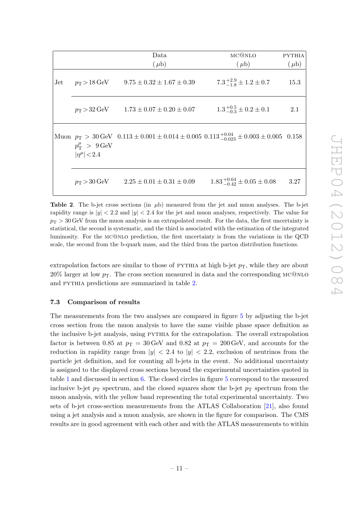|     |                                                            | Data<br>$(\mu b)$                                                                                                      | MC@NLO<br>$(\mu b)$                      | <b>PYTHIA</b><br>$(\mu b)$ |
|-----|------------------------------------------------------------|------------------------------------------------------------------------------------------------------------------------|------------------------------------------|----------------------------|
| Jet |                                                            | $p_T > 18 \,\text{GeV}$ 9.75 $\pm$ 0.32 $\pm$ 1.67 $\pm$ 0.39                                                          | $7.3_{-1.8}^{+2.9} \pm 1.2 \pm 0.7$      | 15.3                       |
|     |                                                            | $p_T > 32 \text{ GeV}$ 1.73 $\pm$ 0.07 $\pm$ 0.20 $\pm$ 0.07                                                           | $1.3_{-0.3}^{+0.5} \pm 0.2 \pm 0.1$      | 2.1                        |
|     | $p_{\rm T}^{\mu} > 9 \,\text{GeV}$<br>$ \eta^{\mu}  < 2.4$ | Muon $p_T > 30 \text{ GeV}$ $0.113 \pm 0.001 \pm 0.014 \pm 0.005$ $0.113_{-0.023}^{+0.04} \pm 0.003 \pm 0.005$ $0.158$ |                                          |                            |
|     | $p_T > 30$ GeV                                             | $2.25 \pm 0.01 \pm 0.31 \pm 0.09$                                                                                      | $1.83_{-0.49}^{+0.64} \pm 0.05 \pm 0.08$ | 3.27                       |

<span id="page-11-1"></span>Table 2. The b-jet cross sections (in  $\mu$ b) measured from the jet and muon analyses. The b-jet rapidity range is  $|y| < 2.2$  and  $|y| < 2.4$  for the jet and muon analyses, respectively. The value for  $p_T > 30$  GeV from the muon analysis is an extrapolated result. For the data, the first uncertainty is statistical, the second is systematic, and the third is associated with the estimation of the integrated luminosity. For the mc@nlo prediction, the first uncertainty is from the variations in the QCD scale, the second from the b-quark mass, and the third from the parton distribution functions.

extrapolation factors are similar to those of PYTHIA at high b-jet  $p<sub>T</sub>$ , while they are about  $20\%$  larger at low  $p_T$ . The cross section measured in data and the corresponding MC@NLO and pythia predictions are summarized in table [2.](#page-11-1)

#### <span id="page-11-0"></span>7.3 Comparison of results

The measurements from the two analyses are compared in figure [5](#page-13-0) by adjusting the b-jet cross section from the muon analysis to have the same visible phase space definition as the inclusive b-jet analysis, using pythia for the extrapolation. The overall extrapolation factor is between 0.85 at  $p_T = 30$  GeV and 0.82 at  $p_T = 200$  GeV, and accounts for the reduction in rapidity range from  $|y| < 2.4$  to  $|y| < 2.2$ , exclusion of neutrinos from the particle jet definition, and for counting all b-jets in the event. No additional uncertainty is assigned to the displayed cross sections beyond the experimental uncertainties quoted in table [1](#page-7-1) and discussed in section [6.](#page-5-0) The closed circles in figure [5](#page-13-0) correspond to the measured inclusive b-jet  $p_T$  spectrum, and the closed squares show the b-jet  $p_T$  spectrum from the muon analysis, with the yellow band representing the total experimental uncertainty. Two sets of b-jet cross-section measurements from the ATLAS Collaboration [\[21\]](#page-15-10), also found using a jet analysis and a muon analysis, are shown in the figure for comparison. The CMS results are in good agreement with each other and with the ATLAS measurements to within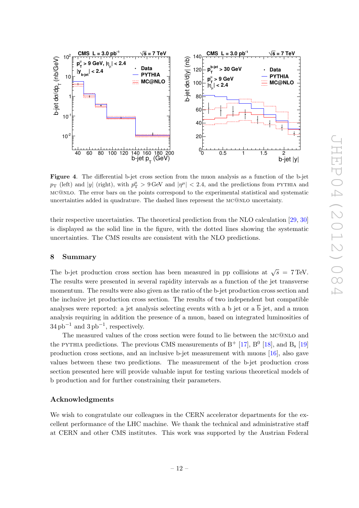

<span id="page-12-1"></span>Figure 4. The differential b-jet cross section from the muon analysis as a function of the b-jet  $p_{\rm T}$  (left) and |y| (right), with  $p_{\rm T}^{\mu} > 9 \,\text{GeV}$  and  $|\eta^{\mu}| < 2.4$ , and the predictions from PYTHIA and mc@nlo. The error bars on the points correspond to the experimental statistical and systematic uncertainties added in quadrature. The dashed lines represent the mc@nlo uncertainty.

their respective uncertainties. The theoretical prediction from the NLO calculation [\[29,](#page-16-2) [30\]](#page-16-3) is displayed as the solid line in the figure, with the dotted lines showing the systematic uncertainties. The CMS results are consistent with the NLO predictions.

#### <span id="page-12-0"></span>8 Summary

The b-jet production cross section has been measured in pp collisions at  $\sqrt{s} = 7$  TeV. The results were presented in several rapidity intervals as a function of the jet transverse momentum. The results were also given as the ratio of the b-jet production cross section and the inclusive jet production cross section. The results of two independent but compatible analyses were reported: a jet analysis selecting events with a b jet or a  $\overline{b}$  jet, and a muon analysis requiring in addition the presence of a muon, based on integrated luminosities of  $34\,\mathrm{pb}^{-1}$  and  $3\,\mathrm{pb}^{-1}$ , respectively.

The measured values of the cross section were found to lie between the mc@nlo and the PYTHIA predictions. The previous CMS measurements of  $B^+$  [\[17\]](#page-15-6),  $B^0$  [\[18\]](#page-15-7), and  $B_s$  [\[19\]](#page-15-8) production cross sections, and an inclusive b-jet measurement with muons [\[16\]](#page-15-5), also gave values between these two predictions. The measurement of the b-jet production cross section presented here will provide valuable input for testing various theoretical models of b production and for further constraining their parameters.

#### Acknowledgments

We wish to congratulate our colleagues in the CERN accelerator departments for the excellent performance of the LHC machine. We thank the technical and administrative staff at CERN and other CMS institutes. This work was supported by the Austrian Federal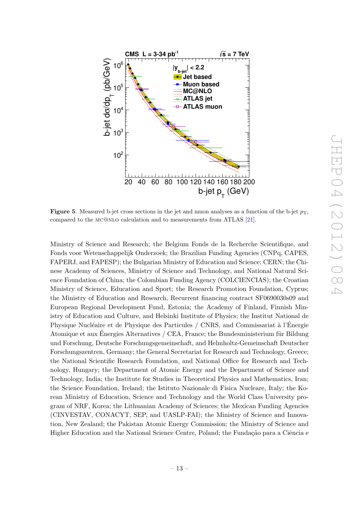

<span id="page-13-0"></span>**Figure 5.** Measured b-jet cross sections in the jet and muon analyses as a function of the b-jet  $p_T$ , compared to the mc@nlo calculation and to measurements from ATLAS [\[21\]](#page-15-10).

Ministry of Science and Research; the Belgium Fonds de la Recherche Scientifique, and Fonds voor Wetenschappelijk Onderzoek; the Brazilian Funding Agencies (CNPq, CAPES, FAPERJ, and FAPESP); the Bulgarian Ministry of Education and Science; CERN; the Chinese Academy of Sciences, Ministry of Science and Technology, and National Natural Science Foundation of China; the Colombian Funding Agency (COLCIENCIAS); the Croatian Ministry of Science, Education and Sport; the Research Promotion Foundation, Cyprus; the Ministry of Education and Research, Recurrent financing contract SF0690030s09 and European Regional Development Fund, Estonia; the Academy of Finland, Finnish Ministry of Education and Culture, and Helsinki Institute of Physics; the Institut National de Physique Nucléaire et de Physique des Particules / CNRS, and Commissariat à l'Energie Atomique et aux Énergies Alternatives / CEA, France; the Bundesministerium für Bildung und Forschung, Deutsche Forschungsgemeinschaft, and Helmholtz-Gemeinschaft Deutscher Forschungszentren, Germany; the General Secretariat for Research and Technology, Greece; the National Scientific Research Foundation, and National Office for Research and Technology, Hungary; the Department of Atomic Energy and the Department of Science and Technology, India; the Institute for Studies in Theoretical Physics and Mathematics, Iran; the Science Foundation, Ireland; the Istituto Nazionale di Fisica Nucleare, Italy; the Korean Ministry of Education, Science and Technology and the World Class University program of NRF, Korea; the Lithuanian Academy of Sciences; the Mexican Funding Agencies (CINVESTAV, CONACYT, SEP, and UASLP-FAI); the Ministry of Science and Innovation, New Zealand; the Pakistan Atomic Energy Commission; the Ministry of Science and Higher Education and the National Science Centre, Poland; the Fundação para a Ciência e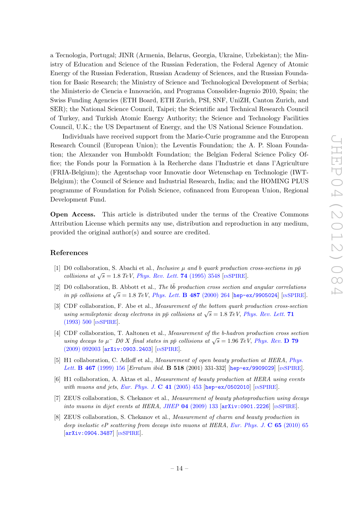a Tecnologia, Portugal; JINR (Armenia, Belarus, Georgia, Ukraine, Uzbekistan); the Ministry of Education and Science of the Russian Federation, the Federal Agency of Atomic Energy of the Russian Federation, Russian Academy of Sciences, and the Russian Foundation for Basic Research; the Ministry of Science and Technological Development of Serbia; the Ministerio de Ciencia e Innovación, and Programa Consolider-Ingenio 2010, Spain; the Swiss Funding Agencies (ETH Board, ETH Zurich, PSI, SNF, UniZH, Canton Zurich, and SER); the National Science Council, Taipei; the Scientific and Technical Research Council of Turkey, and Turkish Atomic Energy Authority; the Science and Technology Facilities Council, U.K.; the US Department of Energy, and the US National Science Foundation.

Individuals have received support from the Marie-Curie programme and the European Research Council (European Union); the Leventis Foundation; the A. P. Sloan Foundation; the Alexander von Humboldt Foundation; the Belgian Federal Science Policy Office; the Fonds pour la Formation à la Recherche dans l'Industrie et dans l'Agriculture (FRIA-Belgium); the Agentschap voor Innovatie door Wetenschap en Technologie (IWT-Belgium); the Council of Science and Industrial Research, India; and the HOMING PLUS programme of Foundation for Polish Science, cofinanced from European Union, Regional Development Fund.

Open Access. This article is distributed under the terms of the Creative Commons Attribution License which permits any use, distribution and reproduction in any medium, provided the original author(s) and source are credited.

#### References

- <span id="page-14-0"></span>[1] D0 collaboration, S. Abachi et al., Inclusive  $\mu$  and b quark production cross-sections in  $p\bar{p}$  $\alpha$  collisions at  $\sqrt{s}$  = 1.8 TeV, [Phys. Rev. Lett.](http://dx.doi.org/10.1103/PhysRevLett.74.3548) **74** (1995) 3548 [IN[SPIRE](http://inspirehep.net/search?p=find+J+Phys.Rev.Lett.,74,3548)].
- [2] D0 collaboration, B. Abbott et al., The  $b\bar{b}$  production cross section and angular correlations  $\overline{p}$  positions at  $\sqrt{s} = 1.8$  TeV, [Phys. Lett.](http://dx.doi.org/10.1016/S0370-2693(00)00844-3) **B** 487 (2000) 264 [[hep-ex/9905024](http://arxiv.org/abs/hep-ex/9905024)] [IN[SPIRE](http://inspirehep.net/search?p=find+EPRINT+hep-ex/9905024)].
- [3] CDF collaboration, F. Abe et al., Measurement of the bottom quark production cross-section using semileptonic decay electrons in  $p\bar{p}$  collisions at  $\sqrt{s} = 1.8$  TeV, [Phys. Rev. Lett.](http://dx.doi.org/10.1103/PhysRevLett.71.500) 71 [\(1993\) 500](http://dx.doi.org/10.1103/PhysRevLett.71.500) [IN[SPIRE](http://inspirehep.net/search?p=find+J+Phys.Rev.Lett.,71,500)].
- <span id="page-14-1"></span>[4] CDF collaboration, T. Aaltonen et al., Measurement of the b-hadron production cross section  $\overline{C}D$ <sup>T</sup> conaboration, 1. Aartonen et al., *Measurement of the o-hauton production eross securing decays to*  $\mu^-$  *D0 X final states in pp collisions at*  $\sqrt{s} = 1.96$  *TeV, [Phys. Rev.](http://dx.doi.org/10.1103/PhysRevD.79.092003) D 79* [\(2009\) 092003](http://dx.doi.org/10.1103/PhysRevD.79.092003) [[arXiv:0903.2403](http://arxiv.org/abs/0903.2403)] [IN[SPIRE](http://inspirehep.net/search?p=find+EPRINT+arXiv:0903.2403)].
- <span id="page-14-2"></span>[5] H1 collaboration, C. Adloff et al., *Measurement of open beauty production at HERA*, *[Phys.](http://dx.doi.org/10.1016/S0370-2693(99)01099-0)* Lett. B 467 [\(1999\) 156](http://dx.doi.org/10.1016/S0370-2693(99)01099-0) [Erratum ibid. B 518 (2001) 331-332] [[hep-ex/9909029](http://arxiv.org/abs/hep-ex/9909029)] [IN[SPIRE](http://inspirehep.net/search?p=find+EPRINT+hep-ex/9909029)].
- [6] H1 collaboration, A. Aktas et al., Measurement of beauty production at HERA using events with muons and jets, [Eur. Phys. J.](http://dx.doi.org/10.1140/epjc/s2005-02267-0) C 41 (2005) 453  $[hep-ex/0502010]$  $[hep-ex/0502010]$  $[hep-ex/0502010]$   $[\text{nSPIRE}]$  $[\text{nSPIRE}]$  $[\text{nSPIRE}]$ .
- [7] ZEUS collaboration, S. Chekanov et al., Measurement of beauty photoproduction using decays into muons in dijet events at HERA, JHEP  $\bf{04}$  [\(2009\) 133](http://dx.doi.org/10.1088/1126-6708/2009/04/133) [[arXiv:0901.2226](http://arxiv.org/abs/0901.2226)] [IN[SPIRE](http://inspirehep.net/search?p=find+EPRINT+arXiv:0901.2226)].
- <span id="page-14-3"></span>[8] ZEUS collaboration, S. Chekanov et al., Measurement of charm and beauty production in deep inelastic eP scattering from decays into muons at HERA, [Eur. Phys. J.](http://dx.doi.org/10.1140/epjc/s10052-009-1193-x) C 65 (2010) 65 [[arXiv:0904.3487](http://arxiv.org/abs/0904.3487)] [IN[SPIRE](http://inspirehep.net/search?p=find+EPRINT+arXiv:0904.3487)].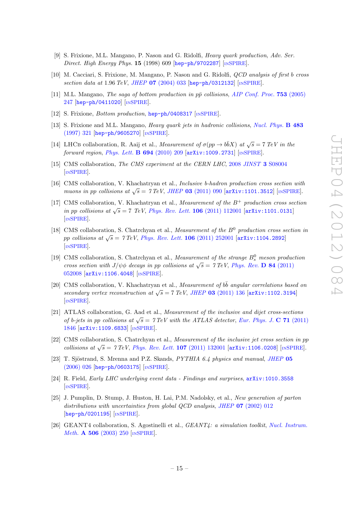- <span id="page-15-0"></span>[9] S. Frixione, M.L. Mangano, P. Nason and G. Ridolfi, Heavy quark production, Adv. Ser. Direct. High Energy Phys. 15 (1998) 609  $[hep-ph/9702287]$  $[hep-ph/9702287]$  $[hep-ph/9702287]$   $[NSPIRE]$  $[NSPIRE]$  $[NSPIRE]$ .
- [10] M. Cacciari, S. Frixione, M. Mangano, P. Nason and G. Ridolfi, QCD analysis of first b cross section data at  $1.96 \text{ TeV}$ , JHEP 07 [\(2004\) 033](http://dx.doi.org/10.1088/1126-6708/2004/07/033) [[hep-ph/0312132](http://arxiv.org/abs/hep-ph/0312132)] [IN[SPIRE](http://inspirehep.net/search?p=find+EPRINT+hep-ph/0312132)].
- [11] M.L. Mangano, The saga of bottom production in  $p\bar{p}$  collisions, [AIP Conf. Proc.](http://dx.doi.org/10.1063/1.1896706) **753** (2005) [247](http://dx.doi.org/10.1063/1.1896706) [[hep-ph/0411020](http://arxiv.org/abs/hep-ph/0411020)] [IN[SPIRE](http://inspirehep.net/search?p=find+EPRINT+hep-ph/0411020)].
- <span id="page-15-1"></span>[12] S. Frixione, *Bottom production*, [hep-ph/0408317](http://arxiv.org/abs/hep-ph/0408317) [IN[SPIRE](http://inspirehep.net/search?p=find+EPRINT+hep-ph/0408317)].
- <span id="page-15-2"></span>[13] S. Frixione and M.L. Mangano, Heavy quark jets in hadronic collisions, [Nucl. Phys.](http://dx.doi.org/10.1016/S0550-3213(96)00577-9) B 483 [\(1997\) 321](http://dx.doi.org/10.1016/S0550-3213(96)00577-9) [[hep-ph/9605270](http://arxiv.org/abs/hep-ph/9605270)] [IN[SPIRE](http://inspirehep.net/search?p=find+EPRINT+hep-ph/9605270)].
- <span id="page-15-3"></span>[14] LHCB collaboration, R. Aaij et al., *Measurement of*  $\sigma(pp \to b\bar{b}X)$  at  $\sqrt{s} = 7 \text{ TeV}$  in the forward region, [Phys. Lett.](http://dx.doi.org/10.1016/j.physletb.2010.10.010)  $\bf{B}$  694 (2010) 209  $\left[$ [arXiv:1009.2731](http://arxiv.org/abs/1009.2731) $\right]$  [IN[SPIRE](http://inspirehep.net/search?p=find+EPRINT+arXiv:1009.2731)].
- <span id="page-15-4"></span>[15] CMS collaboration, The CMS experiment at the CERN LHC, 2008 JINST 3 [S08004](http://dx.doi.org/10.1088/1748-0221/3/08/S08004) [IN[SPIRE](http://inspirehep.net/search?p=find+JINST,03,S08004)].
- <span id="page-15-5"></span>[16] CMS collaboration, V. Khachatryan et al., Inclusive b-hadron production cross section with muons in pp collisions at  $\sqrt{s} = 7 \text{ TeV}$ , JHEP 03 [\(2011\) 090](http://dx.doi.org/10.1007/JHEP03(2011)090) [[arXiv:1101.3512](http://arxiv.org/abs/1101.3512)] [IN[SPIRE](http://inspirehep.net/search?p=find+EPRINT+arXiv:1101.3512)].
- <span id="page-15-6"></span>[17] CMS collaboration, V. Khachatryan et al., *Measurement of the B<sup>+</sup> production cross section* in pp collisions at  $\sqrt{s} = 7$  TeV, [Phys. Rev. Lett.](http://dx.doi.org/10.1103/PhysRevLett.106.112001) 106 (2011) 112001 [[arXiv:1101.0131](http://arxiv.org/abs/1101.0131)] [IN[SPIRE](http://inspirehep.net/search?p=find+EPRINT+arXiv:1101.0131)].
- <span id="page-15-7"></span>[18] CMS collaboration, S. Chatrchyan et al., *Measurement of the*  $B^0$  *production cross section in* pp collisions at  $\sqrt{s} = 7 \text{ TeV}$ , [Phys. Rev. Lett.](http://dx.doi.org/10.1103/PhysRevLett.106.252001) 106 (2011) 252001 [[arXiv:1104.2892](http://arxiv.org/abs/1104.2892)] [IN[SPIRE](http://inspirehep.net/search?p=find+EPRINT+arXiv:1104.2892)].
- <span id="page-15-8"></span>[19] CMS collaboration, S. Chatrchyan et al., *Measurement of the strange*  $B_s^0$  *meson production* cross section with  $J/\psi\phi$  decays in pp collisions at  $\sqrt{s} = 7 \text{ TeV}$ , [Phys. Rev.](http://dx.doi.org/10.1103/PhysRevD.84.052008) **D 84** (2011) [052008](http://dx.doi.org/10.1103/PhysRevD.84.052008) [[arXiv:1106.4048](http://arxiv.org/abs/1106.4048)] [IN[SPIRE](http://inspirehep.net/search?p=find+EPRINT+arXiv:1106.4048)].
- <span id="page-15-9"></span>[20] CMS collaboration, V. Khachatryan et al., Measurement of  $b\bar{b}$  angular correlations based on secondary vertex reconstruction at  $\sqrt{s} = 7$  TeV, JHEP 03 [\(2011\) 136](http://dx.doi.org/10.1007/JHEP03(2011)136) [[arXiv:1102.3194](http://arxiv.org/abs/1102.3194)] [IN[SPIRE](http://inspirehep.net/search?p=find+EPRINT+arXiv:1102.3194)].
- <span id="page-15-10"></span>[21] ATLAS collaboration, G. Aad et al., Measurement of the inclusive and dijet cross-sections of b-jets in pp collisions at  $\sqrt{s}$  = 7 TeV with the ATLAS detector, [Eur. Phys. J.](http://dx.doi.org/10.1140/epjc/s10052-011-1846-4) C 71 (2011) [1846](http://dx.doi.org/10.1140/epjc/s10052-011-1846-4) [[arXiv:1109.6833](http://arxiv.org/abs/1109.6833)] [IN[SPIRE](http://inspirehep.net/search?p=find+EPRINT+arXiv:1109.6833)].
- <span id="page-15-11"></span>[22] CMS collaboration, S. Chatrchyan et al., Measurement of the inclusive jet cross section in pp collisions at  $\sqrt{s}$  = 7 TeV, [Phys. Rev. Lett.](http://dx.doi.org/10.1103/PhysRevLett.107.132001) 107 (2011) 132001 [[arXiv:1106.0208](http://arxiv.org/abs/1106.0208)] [IN[SPIRE](http://inspirehep.net/search?p=find+EPRINT+arXiv:1106.0208)].
- <span id="page-15-12"></span>[23] T. Sjöstrand, S. Mrenna and P.Z. Skands,  $PYTHIA$  6.4 physics and manual, [JHEP](http://dx.doi.org/10.1088/1126-6708/2006/05/026) 05 [\(2006\) 026](http://dx.doi.org/10.1088/1126-6708/2006/05/026) [[hep-ph/0603175](http://arxiv.org/abs/hep-ph/0603175)] [IN[SPIRE](http://inspirehep.net/search?p=find+EPRINT+hep-ph/0603175)].
- <span id="page-15-13"></span>[24] R. Field, Early LHC underlying event data - Findings and surprises,  $arXiv:1010.3558$ [IN[SPIRE](http://inspirehep.net/search?p=find+EPRINT+arXiv:1010.3558)].
- <span id="page-15-14"></span>[25] J. Pumplin, D. Stump, J. Huston, H. Lai, P.M. Nadolsky, et al., New generation of parton distributions with uncertainties from global QCD analysis, JHEP 07 [\(2002\) 012](http://dx.doi.org/10.1088/1126-6708/2002/07/012) [[hep-ph/0201195](http://arxiv.org/abs/hep-ph/0201195)] [IN[SPIRE](http://inspirehep.net/search?p=find+EPRINT+hep-ph/0201195)].
- <span id="page-15-15"></span>[26] GEANT4 collaboration, S. Agostinelli et al., *GEANT4: a simulation toolkit, [Nucl. Instrum.](http://dx.doi.org/10.1016/S0168-9002(03)01368-8)* Meth. A 506 [\(2003\) 250](http://dx.doi.org/10.1016/S0168-9002(03)01368-8) [IN[SPIRE](http://inspirehep.net/search?p=find+J+Nucl.Instrum.Meth.,A506,250)].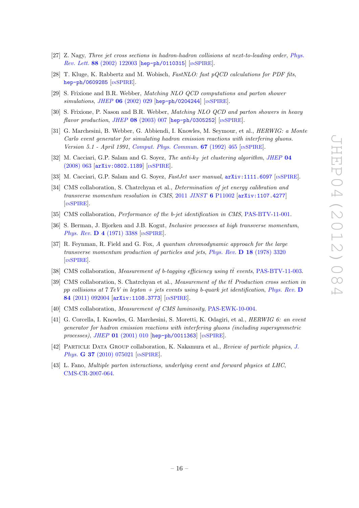- <span id="page-16-0"></span>[27] Z. Nagy, Three jet cross sections in hadron-hadron collisions at next-to-leading order, [Phys.](http://dx.doi.org/10.1103/PhysRevLett.88.122003) Rev. Lett. 88 [\(2002\) 122003](http://dx.doi.org/10.1103/PhysRevLett.88.122003) [[hep-ph/0110315](http://arxiv.org/abs/hep-ph/0110315)] [IN[SPIRE](http://inspirehep.net/search?p=find+EPRINT+hep-ph/0110315)].
- <span id="page-16-1"></span>[28] T. Kluge, K. Rabbertz and M. Wobisch, FastNLO: fast pQCD calculations for PDF fits, [hep-ph/0609285](http://arxiv.org/abs/hep-ph/0609285) [IN[SPIRE](http://inspirehep.net/search?p=find+EPRINT+hep-ph/0609285)].
- <span id="page-16-2"></span>[29] S. Frixione and B.R. Webber, Matching NLO QCD computations and parton shower simulations, JHEP 06 [\(2002\) 029](http://dx.doi.org/10.1088/1126-6708/2002/06/029) [[hep-ph/0204244](http://arxiv.org/abs/hep-ph/0204244)] [IN[SPIRE](http://inspirehep.net/search?p=find+EPRINT+hep-ph/0204244)].
- <span id="page-16-3"></span>[30] S. Frixione, P. Nason and B.R. Webber, *Matching NLO QCD and parton showers in heavy* flavor production, JHEP  $08$  [\(2003\) 007](http://dx.doi.org/10.1088/1126-6708/2003/08/007) [[hep-ph/0305252](http://arxiv.org/abs/hep-ph/0305252)] [IN[SPIRE](http://inspirehep.net/search?p=find+EPRINT+hep-ph/0305252)].
- <span id="page-16-4"></span>[31] G. Marchesini, B. Webber, G. Abbiendi, I. Knowles, M. Seymour, et al., HERWIG: a Monte Carlo event generator for simulating hadron emission reactions with interfering gluons. Version 5.1 - April 1991, [Comput. Phys. Commun.](http://dx.doi.org/10.1016/0010-4655(92)90055-4) 67 (1992) 465 [IN[SPIRE](http://inspirehep.net/search?p=find+J+Comput.Phys.Commun.,67,465)].
- <span id="page-16-5"></span>[32] M. Cacciari, G.P. Salam and G. Soyez, The anti- $k_T$  jet clustering algorithm, [JHEP](http://dx.doi.org/10.1088/1126-6708/2008/04/063) 04 [\(2008\) 063](http://dx.doi.org/10.1088/1126-6708/2008/04/063) [[arXiv:0802.1189](http://arxiv.org/abs/0802.1189)] [IN[SPIRE](http://inspirehep.net/search?p=find+EPRINT+arXiv:0802.1189)].
- <span id="page-16-6"></span>[33] M. Cacciari, G.P. Salam and G. Soyez, *FastJet user manual*,  $arXiv:1111.6097$  [IN[SPIRE](http://inspirehep.net/search?p=find+EPRINT+arXiv:1111.6097)].
- <span id="page-16-7"></span>[34] CMS collaboration, S. Chatrchyan et al., *Determination of jet energy calibration and* transverse momentum resolution in CMS, 2011 JINST 6 [P11002](http://dx.doi.org/10.1088/1748-0221/6/11/P11002) [[arXiv:1107.4277](http://arxiv.org/abs/1107.4277)] [IN[SPIRE](http://inspirehep.net/search?p=find+J+JINST,6,P11002)].
- <span id="page-16-8"></span>[35] CMS collaboration, *Performance of the b-jet identification in CMS*, [PAS-BTV-11-001.](http://cdsweb.cern.ch/record/1366061)
- <span id="page-16-9"></span>[36] S. Berman, J. Bjorken and J.B. Kogut, Inclusive processes at high transverse momentum, Phys. Rev. **D 4** [\(1971\) 3388](http://dx.doi.org/10.1103/PhysRevD.4.3388) [IN[SPIRE](http://inspirehep.net/search?p=find+J+Phys.Rev.,D4,3388)].
- <span id="page-16-10"></span>[37] R. Feynman, R. Field and G. Fox, A quantum chromodynamic approach for the large transverse momentum production of particles and jets,  $Phys. Rev. D 18 (1978) 3320$  $Phys. Rev. D 18 (1978) 3320$ [IN[SPIRE](http://inspirehep.net/search?p=find+J+Phys.Rev.,D18,3320)].
- <span id="page-16-11"></span>[38] CMS collaboration, *Measurement of b-tagging efficiency using tte events*, [PAS-BTV-11-003.](http://cdsweb.cern.ch/record/1421611)
- <span id="page-16-12"></span>[39] CMS collaboration, S. Chatrchyan et al., *Measurement of the*  $t\bar{t}$  *Production cross section in* pp collisions at  $7 TeV$  in lepton  $+$  jets events using b-quark jet identification, [Phys. Rev.](http://dx.doi.org/10.1103/PhysRevD.84.092004) D 84 [\(2011\) 092004](http://dx.doi.org/10.1103/PhysRevD.84.092004) [[arXiv:1108.3773](http://arxiv.org/abs/1108.3773)] [IN[SPIRE](http://inspirehep.net/search?p=find+EPRINT+arXiv:1108.3773)].
- <span id="page-16-13"></span>[40] CMS collaboration, *Measurement of CMS luminosity*, [PAS-EWK-10-004.](http://cdsweb.cern.ch/record/1279145)
- <span id="page-16-14"></span>[41] G. Corcella, I. Knowles, G. Marchesini, S. Moretti, K. Odagiri, et al., HERWIG 6: an event generator for hadron emission reactions with interfering gluons (including supersymmetric processes), JHEP 01 [\(2001\) 010](http://dx.doi.org/10.1088/1126-6708/2001/01/010) [[hep-ph/0011363](http://arxiv.org/abs/hep-ph/0011363)] [IN[SPIRE](http://inspirehep.net/search?p=find+EPRINT+hep-ph/0011363)].
- <span id="page-16-15"></span>[42] Particle Data Group collaboration, K. Nakamura et al., Review of particle physics, [J.](http://dx.doi.org/10.1088/0954-3899/37/7A/075021) Phys. **G 37** [\(2010\) 075021](http://dx.doi.org/10.1088/0954-3899/37/7A/075021) [IN[SPIRE](http://inspirehep.net/search?p=find+J.Phys.,G37,075021)].
- <span id="page-16-16"></span>[43] L. Fano, Multiple parton interactions, underlying event and forward physics at LHC, [CMS-CR-2007-064.](http://cdsweb.cern.ch/record/1096417)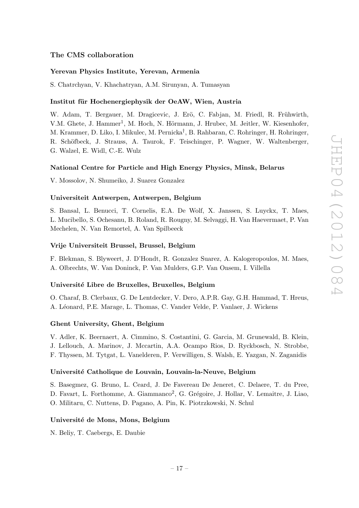#### The CMS collaboration

#### <span id="page-17-0"></span>Yerevan Physics Institute, Yerevan, Armenia

S. Chatrchyan, V. Khachatryan, A.M. Sirunyan, A. Tumasyan

#### Institut für Hochenergiephysik der OeAW, Wien, Austria

W. Adam, T. Bergauer, M. Dragicevic, J. Erö, C. Fabjan, M. Friedl, R. Frühwirth, V.M. Ghete, J. Hammer<sup>1</sup>, M. Hoch, N. Hörmann, J. Hrubec, M. Jeitler, W. Kiesenhofer, M. Krammer, D. Liko, I. Mikulec, M. Pernicka† , B. Rahbaran, C. Rohringer, H. Rohringer, R. Schöfbeck, J. Strauss, A. Taurok, F. Teischinger, P. Wagner, W. Waltenberger, G. Walzel, E. Widl, C.-E. Wulz

#### National Centre for Particle and High Energy Physics, Minsk, Belarus

V. Mossolov, N. Shumeiko, J. Suarez Gonzalez

#### Universiteit Antwerpen, Antwerpen, Belgium

S. Bansal, L. Benucci, T. Cornelis, E.A. De Wolf, X. Janssen, S. Luyckx, T. Maes, L. Mucibello, S. Ochesanu, B. Roland, R. Rougny, M. Selvaggi, H. Van Haevermaet, P. Van Mechelen, N. Van Remortel, A. Van Spilbeeck

#### Vrije Universiteit Brussel, Brussel, Belgium

F. Blekman, S. Blyweert, J. D'Hondt, R. Gonzalez Suarez, A. Kalogeropoulos, M. Maes, A. Olbrechts, W. Van Doninck, P. Van Mulders, G.P. Van Onsem, I. Villella

#### Universit´e Libre de Bruxelles, Bruxelles, Belgium

O. Charaf, B. Clerbaux, G. De Lentdecker, V. Dero, A.P.R. Gay, G.H. Hammad, T. Hreus, A. Léonard, P.E. Marage, L. Thomas, C. Vander Velde, P. Vanlaer, J. Wickens

#### Ghent University, Ghent, Belgium

V. Adler, K. Beernaert, A. Cimmino, S. Costantini, G. Garcia, M. Grunewald, B. Klein, J. Lellouch, A. Marinov, J. Mccartin, A.A. Ocampo Rios, D. Ryckbosch, N. Strobbe, F. Thyssen, M. Tytgat, L. Vanelderen, P. Verwilligen, S. Walsh, E. Yazgan, N. Zaganidis

#### Université Catholique de Louvain, Louvain-la-Neuve, Belgium

S. Basegmez, G. Bruno, L. Ceard, J. De Favereau De Jeneret, C. Delaere, T. du Pree, D. Favart, L. Forthomme, A. Giammanco<sup>2</sup>, G. Grégoire, J. Hollar, V. Lemaitre, J. Liao, O. Militaru, C. Nuttens, D. Pagano, A. Pin, K. Piotrzkowski, N. Schul

#### Université de Mons, Mons, Belgium

N. Beliy, T. Caebergs, E. Daubie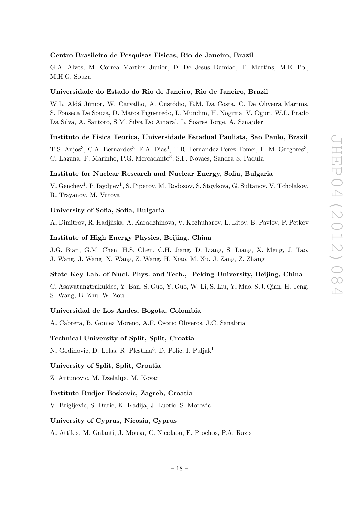#### Centro Brasileiro de Pesquisas Fisicas, Rio de Janeiro, Brazil

G.A. Alves, M. Correa Martins Junior, D. De Jesus Damiao, T. Martins, M.E. Pol, M.H.G. Souza

#### Universidade do Estado do Rio de Janeiro, Rio de Janeiro, Brazil

W.L. Aldá Júnior, W. Carvalho, A. Custódio, E.M. Da Costa, C. De Oliveira Martins, S. Fonseca De Souza, D. Matos Figueiredo, L. Mundim, H. Nogima, V. Oguri, W.L. Prado Da Silva, A. Santoro, S.M. Silva Do Amaral, L. Soares Jorge, A. Sznajder

#### Instituto de Fisica Teorica, Universidade Estadual Paulista, Sao Paulo, Brazil

T.S. Anjos<sup>3</sup>, C.A. Bernardes<sup>3</sup>, F.A. Dias<sup>4</sup>, T.R. Fernandez Perez Tomei, E. M. Gregores<sup>3</sup>, C. Lagana, F. Marinho, P.G. Mercadante<sup>3</sup>, S.F. Novaes, Sandra S. Padula

#### Institute for Nuclear Research and Nuclear Energy, Sofia, Bulgaria

V. Genchev<sup>1</sup>, P. Iaydjiev<sup>1</sup>, S. Piperov, M. Rodozov, S. Stoykova, G. Sultanov, V. Tcholakov, R. Trayanov, M. Vutova

#### University of Sofia, Sofia, Bulgaria

A. Dimitrov, R. Hadjiiska, A. Karadzhinova, V. Kozhuharov, L. Litov, B. Pavlov, P. Petkov

#### Institute of High Energy Physics, Beijing, China

J.G. Bian, G.M. Chen, H.S. Chen, C.H. Jiang, D. Liang, S. Liang, X. Meng, J. Tao, J. Wang, J. Wang, X. Wang, Z. Wang, H. Xiao, M. Xu, J. Zang, Z. Zhang

#### State Key Lab. of Nucl. Phys. and Tech., Peking University, Beijing, China

C. Asawatangtrakuldee, Y. Ban, S. Guo, Y. Guo, W. Li, S. Liu, Y. Mao, S.J. Qian, H. Teng, S. Wang, B. Zhu, W. Zou

#### Universidad de Los Andes, Bogota, Colombia

A. Cabrera, B. Gomez Moreno, A.F. Osorio Oliveros, J.C. Sanabria

#### Technical University of Split, Split, Croatia

N. Godinovic, D. Lelas, R. Plestina<sup>5</sup>, D. Polic, I. Puljak<sup>1</sup>

#### University of Split, Split, Croatia

Z. Antunovic, M. Dzelalija, M. Kovac

#### Institute Rudjer Boskovic, Zagreb, Croatia

V. Brigljevic, S. Duric, K. Kadija, J. Luetic, S. Morovic

#### University of Cyprus, Nicosia, Cyprus

A. Attikis, M. Galanti, J. Mousa, C. Nicolaou, F. Ptochos, P.A. Razis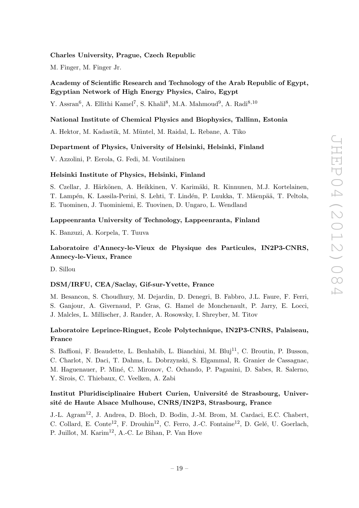#### Charles University, Prague, Czech Republic

M. Finger, M. Finger Jr.

### Academy of Scientific Research and Technology of the Arab Republic of Egypt, Egyptian Network of High Energy Physics, Cairo, Egypt

Y. Assran<sup>6</sup>, A. Ellithi Kamel<sup>7</sup>, S. Khalil<sup>8</sup>, M.A. Mahmoud<sup>9</sup>, A. Radi<sup>8,10</sup>

#### National Institute of Chemical Physics and Biophysics, Tallinn, Estonia

A. Hektor, M. Kadastik, M. Müntel, M. Raidal, L. Rebane, A. Tiko

#### Department of Physics, University of Helsinki, Helsinki, Finland

V. Azzolini, P. Eerola, G. Fedi, M. Voutilainen

#### Helsinki Institute of Physics, Helsinki, Finland

S. Czellar, J. Härkönen, A. Heikkinen, V. Karimäki, R. Kinnunen, M.J. Kortelainen, T. Lampén, K. Lassila-Perini, S. Lehti, T. Lindén, P. Luukka, T. Mäenpää, T. Peltola, E. Tuominen, J. Tuominiemi, E. Tuovinen, D. Ungaro, L. Wendland

#### Lappeenranta University of Technology, Lappeenranta, Finland

K. Banzuzi, A. Korpela, T. Tuuva

### Laboratoire d'Annecy-le-Vieux de Physique des Particules, IN2P3-CNRS, Annecy-le-Vieux, France

D. Sillou

#### DSM/IRFU, CEA/Saclay, Gif-sur-Yvette, France

M. Besancon, S. Choudhury, M. Dejardin, D. Denegri, B. Fabbro, J.L. Faure, F. Ferri, S. Ganjour, A. Givernaud, P. Gras, G. Hamel de Monchenault, P. Jarry, E. Locci, J. Malcles, L. Millischer, J. Rander, A. Rosowsky, I. Shreyber, M. Titov

### Laboratoire Leprince-Ringuet, Ecole Polytechnique, IN2P3-CNRS, Palaiseau, France

S. Baffioni, F. Beaudette, L. Benhabib, L. Bianchini, M. Bluj<sup>11</sup>, C. Broutin, P. Busson, C. Charlot, N. Daci, T. Dahms, L. Dobrzynski, S. Elgammal, R. Granier de Cassagnac, M. Haguenauer, P. Min´e, C. Mironov, C. Ochando, P. Paganini, D. Sabes, R. Salerno, Y. Sirois, C. Thiebaux, C. Veelken, A. Zabi

### Institut Pluridisciplinaire Hubert Curien, Université de Strasbourg, Université de Haute Alsace Mulhouse, CNRS/IN2P3, Strasbourg, France

J.-L. Agram12, J. Andrea, D. Bloch, D. Bodin, J.-M. Brom, M. Cardaci, E.C. Chabert, C. Collard, E. Conte<sup>12</sup>, F. Drouhin<sup>12</sup>, C. Ferro, J.-C. Fontaine<sup>12</sup>, D. Gelé, U. Goerlach, P. Juillot, M. Karim12, A.-C. Le Bihan, P. Van Hove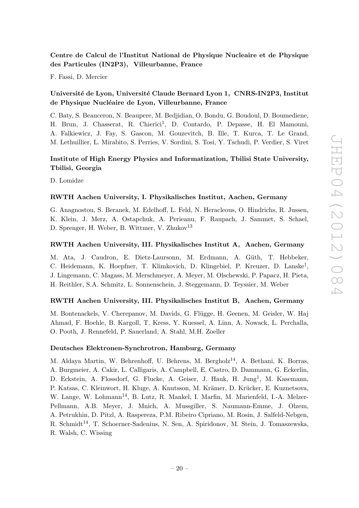Centre de Calcul de l'Institut National de Physique Nucleaire et de Physique des Particules (IN2P3), Villeurbanne, France

F. Fassi, D. Mercier

### Université de Lyon, Université Claude Bernard Lyon 1, CNRS-IN2P3, Institut de Physique Nucléaire de Lyon, Villeurbanne, France

C. Baty, S. Beauceron, N. Beaupere, M. Bedjidian, O. Bondu, G. Boudoul, D. Boumediene, H. Brun, J. Chasserat, R. Chierici<sup>1</sup>, D. Contardo, P. Depasse, H. El Mamouni, A. Falkiewicz, J. Fay, S. Gascon, M. Gouzevitch, B. Ille, T. Kurca, T. Le Grand, M. Lethuillier, L. Mirabito, S. Perries, V. Sordini, S. Tosi, Y. Tschudi, P. Verdier, S. Viret

### Institute of High Energy Physics and Informatization, Tbilisi State University, Tbilisi, Georgia

D. Lomidze

#### RWTH Aachen University, I. Physikalisches Institut, Aachen, Germany

G. Anagnostou, S. Beranek, M. Edelhoff, L. Feld, N. Heracleous, O. Hindrichs, R. Jussen, K. Klein, J. Merz, A. Ostapchuk, A. Perieanu, F. Raupach, J. Sammet, S. Schael, D. Sprenger, H. Weber, B. Wittmer, V. Zhukov<sup>13</sup>

### RWTH Aachen University, III. Physikalisches Institut A, Aachen, Germany

M. Ata, J. Caudron, E. Dietz-Laursonn, M. Erdmann, A. Güth, T. Hebbeker, C. Heidemann, K. Hoepfner, T. Klimkovich, D. Klingebiel, P. Kreuzer, D. Lanske† , J. Lingemann, C. Magass, M. Merschmeyer, A. Meyer, M. Olschewski, P. Papacz, H. Pieta, H. Reithler, S.A. Schmitz, L. Sonnenschein, J. Steggemann, D. Teyssier, M. Weber

#### RWTH Aachen University, III. Physikalisches Institut B, Aachen, Germany

M. Bontenackels, V. Cherepanov, M. Davids, G. Flügge, H. Geenen, M. Geisler, W. Haj Ahmad, F. Hoehle, B. Kargoll, T. Kress, Y. Kuessel, A. Linn, A. Nowack, L. Perchalla, O. Pooth, J. Rennefeld, P. Sauerland, A. Stahl, M.H. Zoeller

#### Deutsches Elektronen-Synchrotron, Hamburg, Germany

M. Aldaya Martin, W. Behrenhoff, U. Behrens, M. Bergholz<sup>14</sup>, A. Bethani, K. Borras, A. Burgmeier, A. Cakir, L. Calligaris, A. Campbell, E. Castro, D. Dammann, G. Eckerlin, D. Eckstein, A. Flossdorf, G. Flucke, A. Geiser, J. Hauk, H. Jung<sup>1</sup>, M. Kasemann, P. Katsas, C. Kleinwort, H. Kluge, A. Knutsson, M. Krämer, D. Krücker, E. Kuznetsova, W. Lange, W. Lohmann<sup>14</sup>, B. Lutz, R. Mankel, I. Marfin, M. Marienfeld, I.-A. Melzer-Pellmann, A.B. Meyer, J. Mnich, A. Mussgiller, S. Naumann-Emme, J. Olzem, A. Petrukhin, D. Pitzl, A. Raspereza, P.M. Ribeiro Cipriano, M. Rosin, J. Salfeld-Nebgen, R. Schmidt<sup>14</sup>, T. Schoerner-Sadenius, N. Sen, A. Spiridonov, M. Stein, J. Tomaszewska, R. Walsh, C. Wissing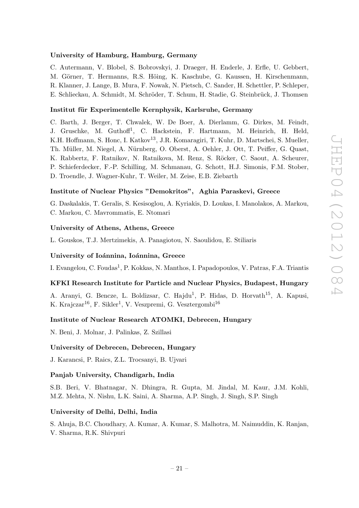#### University of Hamburg, Hamburg, Germany

C. Autermann, V. Blobel, S. Bobrovskyi, J. Draeger, H. Enderle, J. Erfle, U. Gebbert, M. Görner, T. Hermanns, R.S. Höing, K. Kaschube, G. Kaussen, H. Kirschenmann, R. Klanner, J. Lange, B. Mura, F. Nowak, N. Pietsch, C. Sander, H. Schettler, P. Schleper, E. Schlieckau, A. Schmidt, M. Schröder, T. Schum, H. Stadie, G. Steinbrück, J. Thomsen

#### Institut für Experimentelle Kernphysik, Karlsruhe, Germany

C. Barth, J. Berger, T. Chwalek, W. De Boer, A. Dierlamm, G. Dirkes, M. Feindt, J. Gruschke, M. Guthoff<sup>1</sup>, C. Hackstein, F. Hartmann, M. Heinrich, H. Held, K.H. Hoffmann, S. Honc, I. Katkov<sup>13</sup>, J.R. Komaragiri, T. Kuhr, D. Martschei, S. Mueller, Th. Müller, M. Niegel, A. Nürnberg, O. Oberst, A. Oehler, J. Ott, T. Peiffer, G. Quast, K. Rabbertz, F. Ratnikov, N. Ratnikova, M. Renz, S. Röcker, C. Saout, A. Scheurer, P. Schieferdecker, F.-P. Schilling, M. Schmanau, G. Schott, H.J. Simonis, F.M. Stober, D. Troendle, J. Wagner-Kuhr, T. Weiler, M. Zeise, E.B. Ziebarth

#### Institute of Nuclear Physics "Demokritos", Aghia Paraskevi, Greece

G. Daskalakis, T. Geralis, S. Kesisoglou, A. Kyriakis, D. Loukas, I. Manolakos, A. Markou, C. Markou, C. Mavrommatis, E. Ntomari

#### University of Athens, Athens, Greece

L. Gouskos, T.J. Mertzimekis, A. Panagiotou, N. Saoulidou, E. Stiliaris

#### University of Ioánnina, Ioánnina, Greece

I. Evangelou, C. Foudas<sup>1</sup>, P. Kokkas, N. Manthos, I. Papadopoulos, V. Patras, F.A. Triantis

#### KFKI Research Institute for Particle and Nuclear Physics, Budapest, Hungary

A. Aranyi, G. Bencze, L. Boldizsar, C. Hajdu<sup>1</sup>, P. Hidas, D. Horvath<sup>15</sup>, A. Kapusi, K. Krajczar<sup>16</sup>, F. Sikler<sup>1</sup>, V. Veszpremi, G. Vesztergombi<sup>16</sup>

#### Institute of Nuclear Research ATOMKI, Debrecen, Hungary

N. Beni, J. Molnar, J. Palinkas, Z. Szillasi

#### University of Debrecen, Debrecen, Hungary

J. Karancsi, P. Raics, Z.L. Trocsanyi, B. Ujvari

#### Panjab University, Chandigarh, India

S.B. Beri, V. Bhatnagar, N. Dhingra, R. Gupta, M. Jindal, M. Kaur, J.M. Kohli, M.Z. Mehta, N. Nishu, L.K. Saini, A. Sharma, A.P. Singh, J. Singh, S.P. Singh

#### University of Delhi, Delhi, India

S. Ahuja, B.C. Choudhary, A. Kumar, A. Kumar, S. Malhotra, M. Naimuddin, K. Ranjan, V. Sharma, R.K. Shivpuri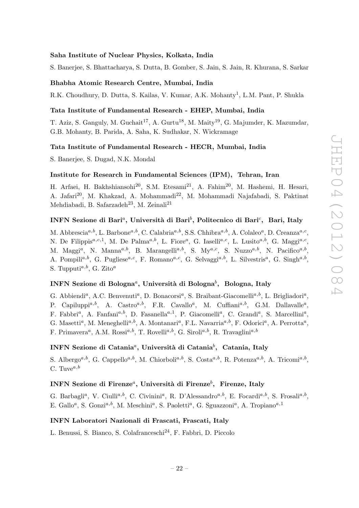#### Saha Institute of Nuclear Physics, Kolkata, India

S. Banerjee, S. Bhattacharya, S. Dutta, B. Gomber, S. Jain, S. Jain, R. Khurana, S. Sarkar

#### Bhabha Atomic Research Centre, Mumbai, India

R.K. Choudhury, D. Dutta, S. Kailas, V. Kumar, A.K. Mohanty<sup>1</sup>, L.M. Pant, P. Shukla

#### Tata Institute of Fundamental Research - EHEP, Mumbai, India

T. Aziz, S. Ganguly, M. Guchait<sup>17</sup>, A. Gurtu<sup>18</sup>, M. Maity<sup>19</sup>, G. Majumder, K. Mazumdar, G.B. Mohanty, B. Parida, A. Saha, K. Sudhakar, N. Wickramage

#### Tata Institute of Fundamental Research - HECR, Mumbai, India

S. Banerjee, S. Dugad, N.K. Mondal

### Institute for Research in Fundamental Sciences (IPM), Tehran, Iran

H. Arfaei, H. Bakhshiansohi<sup>20</sup>, S.M. Etesami<sup>21</sup>, A. Fahim<sup>20</sup>, M. Hashemi, H. Hesari, A. Jafari<sup>20</sup>, M. Khakzad, A. Mohammadi<sup>22</sup>, M. Mohammadi Najafabadi, S. Paktinat Mehdiabadi, B. Safarzadeh<sup>23</sup>, M. Zeinali<sup>21</sup>

### INFN Sezione di Bari $^a$ , Università di Bari $^b$ , Politecnico di Bari $^c$ , Bari, Italy

M. Abbrescia<sup>a,b</sup>, L. Barbone<sup>a,b</sup>, C. Calabria<sup>a,b</sup>, S.S. Chhibra<sup>a,b</sup>, A. Colaleo<sup>a</sup>, D. Creanza<sup>a,c</sup>, N. De Filippis<sup>a,c,1</sup>, M. De Palma<sup>a,b</sup>, L. Fiore<sup>a</sup>, G. Iaselli<sup>a,c</sup>, L. Lusito<sup>a,b</sup>, G. Maggi<sup>a,c</sup>, M. Maggi<sup>a</sup>, N. Manna<sup>a,b</sup>, B. Marangelli<sup>a,b</sup>, S. My<sup>a,c</sup>, S. Nuzzo<sup>a,b</sup>, N. Pacifico<sup>a,b</sup>, A. Pompili<sup>a,b</sup>, G. Pugliese<sup>a,c</sup>, F. Romano<sup>a,c</sup>, G. Selvaggi<sup>a,b</sup>, L. Silvestris<sup>a</sup>, G. Singh<sup>a,b</sup>, S. Tupputi<sup>a,b</sup>, G. Zito<sup>a</sup>

### INFN Sezione di Bologna $^a,$  Università di Bologna $^b, \,$  Bologna, Italy

G. Abbiendi<sup>a</sup>, A.C. Benvenuti<sup>a</sup>, D. Bonacorsi<sup>a</sup>, S. Braibant-Giacomelli<sup>a,b</sup>, L. Brigliadori<sup>a</sup>, P. Capiluppi<sup>a,b</sup>, A. Castro<sup>a,b</sup>, F.R. Cavallo<sup>a</sup>, M. Cuffiani<sup>a,b</sup>, G.M. Dallavalle<sup>a</sup>, F. Fabbri<sup>a</sup>, A. Fanfani<sup>a,b</sup>, D. Fasanella<sup>a,1</sup>, P. Giacomelli<sup>a</sup>, C. Grandi<sup>a</sup>, S. Marcellini<sup>a</sup>, G. Masetti<sup>a</sup>, M. Meneghelli<sup>a,b</sup>, A. Montanari<sup>a</sup>, F.L. Navarria<sup>a,b</sup>, F. Odorici<sup>a</sup>, A. Perrotta<sup>a</sup>, F. Primavera<sup>a</sup>, A.M. Rossi<sup>a,b</sup>, T. Rovelli<sup>a,b</sup>, G. Siroli<sup>a,b</sup>, R. Travaglini<sup>a,b</sup>

### INFN Sezione di Catania $^a,$  Università di Catania $^b,\;$  Catania, Italy

S. Albergo<sup>a,b</sup>, G. Cappello<sup>a,b</sup>, M. Chiorboli<sup>a,b</sup>, S. Costa<sup>a,b</sup>, R. Potenza<sup>a,b</sup>, A. Tricomi<sup>a,b</sup>, C. Tuve<sup> $a,b$ </sup>

### INFN Sezione di Firenze $^a$ , Università di Firenze $^b$ , Firenze, Italy

G. Barbagli<sup>a</sup>, V. Ciulli<sup>a,b</sup>, C. Civinini<sup>a</sup>, R. D'Alessandro<sup>a,b</sup>, E. Focardi<sup>a,b</sup>, S. Frosali<sup>a,b</sup>, E. Gallo<sup>a</sup>, S. Gonzi<sup>a,b</sup>, M. Meschini<sup>a</sup>, S. Paoletti<sup>a</sup>, G. Sguazzoni<sup>a</sup>, A. Tropiano<sup>a,1</sup>

#### INFN Laboratori Nazionali di Frascati, Frascati, Italy

L. Benussi, S. Bianco, S. Colafranceschi24, F. Fabbri, D. Piccolo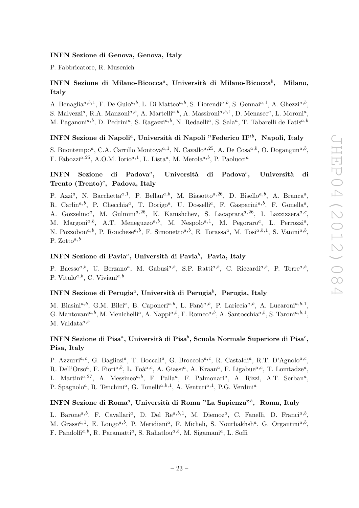#### INFN Sezione di Genova, Genova, Italy

P. Fabbricatore, R. Musenich

### ${\rm INFN}\,$  Sezione di Milano-Bicocca $^a,\,$  Università di Milano-Bicocca $^b,\,$  Milano, Italy

A. Benaglia<sup>a,b,1</sup>, F. De Guio<sup>a,b</sup>, L. Di Matteo<sup>a,b</sup>, S. Fiorendi<sup>a,b</sup>, S. Gennai<sup>a,1</sup>, A. Ghezzi<sup>a,b</sup>, S. Malvezzi<sup>a</sup>, R.A. Manzoni<sup>a,b</sup>, A. Martelli<sup>a,b</sup>, A. Massironi<sup>a,b,1</sup>, D. Menasce<sup>a</sup>, L. Moroni<sup>a</sup>, M. Paganoni<sup>a,b</sup>, D. Pedrini<sup>a</sup>, S. Ragazzi<sup>a,b</sup>, N. Redaelli<sup>a</sup>, S. Sala<sup>a</sup>, T. Tabarelli de Fatis<sup>a,b</sup>

### INFN Sezione di Napoli<sup>a</sup>, Università di Napoli "Federico II"<sup>b</sup>, Napoli, Italy

S. Buontempo<sup>a</sup>, C.A. Carrillo Montoya<sup>a, 1</sup>, N. Cavallo<sup>a, 25</sup>, A. De Cosa<sup>a, b</sup>, O. Dogangun<sup>a, b</sup>, F. Fabozzi<sup>a, 25</sup>, A.O.M. Iorio<sup>a, 1</sup>, L. Lista<sup>a</sup>, M. Merola<sup>a, b</sup>, P. Paolucci<sup>a</sup>

#### INFN Sezione di Padova<sup>a</sup>, Università di Padova<sup>b</sup>, Università di Trento  $(Trento)^c$ , Padova, Italy

P. Azzi<sup>a</sup>, N. Bacchetta<sup>a, 1</sup>, P. Bellan<sup>a, b</sup>, M. Biasotto<sup>a, 26</sup>, D. Bisello<sup>a, b</sup>, A. Branca<sup>a</sup>, R. Carlin<sup>a,b</sup>, P. Checchia<sup>a</sup>, T. Dorigo<sup>a</sup>, U. Dosselli<sup>a</sup>, F. Gasparini<sup>a,b</sup>, F. Gonella<sup>a</sup>, A. Gozzelino<sup>a</sup>, M. Gulmini<sup>a, 26</sup>, K. Kanishchev, S. Lacaprara<sup>a, 26</sup>, I. Lazzizzera<sup>a, c</sup>, M. Margoni<sup>a,b</sup>, A.T. Meneguzzo<sup>a,b</sup>, M. Nespolo<sup>a,1</sup>, M. Pegoraro<sup>a</sup>, L. Perrozzi<sup>a</sup>, N. Pozzobon<sup>a,b</sup>, P. Ronchese<sup>a,b</sup>, F. Simonetto<sup>a,b</sup>, E. Torassa<sup>a</sup>, M. Tosi<sup>a,b,1</sup>, S. Vanini<sup>a,b</sup>, P.  $Zotto^{a,b}$ 

### INFN Sezione di Pavia $^a,$  Università di Pavia $^b, \, \,$  Pavia, Italy

P. Baesso<sup>a,b</sup>, U. Berzano<sup>a</sup>, M. Gabusi<sup>a,b</sup>, S.P. Ratti<sup>a,b</sup>, C. Riccardi<sup>a,b</sup>, P. Torre<sup>a,b</sup>, P. Vitulo<sup> $a,b$ </sup>, C. Viviani $a,b$ 

### INFN Sezione di Perugia $^a,$  Università di Perugia $^b, \, \,$  Perugia, Italy

M. Biasini<sup>a,b</sup>, G.M. Bilei<sup>a</sup>, B. Caponeri<sup>a,b</sup>, L. Fanò<sup>a,b</sup>, P. Lariccia<sup>a,b</sup>, A. Lucaroni<sup>a,b,1</sup>, G. Mantovani<sup>a,b</sup>, M. Menichelli<sup>a</sup>, A. Nappi<sup>a,b</sup>, F. Romeo<sup>a,b</sup>, A. Santocchia<sup>a,b</sup>, S. Taroni<sup>a,b,1</sup>, M. Valdata $a,b$ 

## $\mathbf{INFN}$  Sezione di Pisa $^a, \mathbf{Universit\`a}$  di Pisa $^b, \mathbf{Scuola}$  Normale Superiore di Pisa $^c,$ Pisa, Italy

P. Azzurri<sup>a,c</sup>, G. Bagliesi<sup>a</sup>, T. Boccali<sup>a</sup>, G. Broccolo<sup>a,c</sup>, R. Castaldi<sup>a</sup>, R.T. D'Agnolo<sup>a,c</sup>, R. Dell'Orso<sup>a</sup>, F. Fiori<sup>a,b</sup>, L. Foà<sup>a,c</sup>, A. Giassi<sup>a</sup>, A. Kraan<sup>a</sup>, F. Ligabue<sup>a,c</sup>, T. Lomtadze<sup>a</sup>, L. Martini<sup>a, 27</sup>, A. Messineo<sup>a, b</sup>, F. Palla<sup>a</sup>, F. Palmonari<sup>a</sup>, A. Rizzi, A.T. Serban<sup>a</sup>, P. Spagnolo<sup>a</sup>, R. Tenchini<sup>a</sup>, G. Tonelli<sup>a,b,1</sup>, A. Venturi<sup>a,1</sup>, P.G. Verdini<sup>a</sup>

### INFN Sezione di Roma $^a,$  Università di Roma "La Sapienza" $^b, \, \,$  Roma, Italy

L. Barone<sup>a,b</sup>, F. Cavallari<sup>a</sup>, D. Del Re<sup>a,b,1</sup>, M. Diemoz<sup>a</sup>, C. Fanelli, D. Franci<sup>a,b</sup>, M. Grassi<sup>a,1</sup>, E. Longo<sup>a,b</sup>, P. Meridiani<sup>a</sup>, F. Micheli, S. Nourbakhsh<sup>a</sup>, G. Organtini<sup>a,b</sup>, F. Pandolfi<sup>a,b</sup>, R. Paramatti<sup>a</sup>, S. Rahatlou<sup>a,b</sup>, M. Sigamani<sup>a</sup>, L. Soffi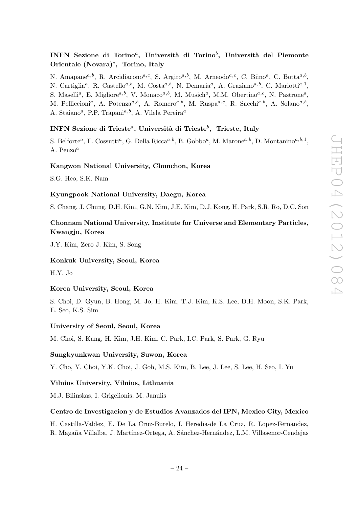### ${\rm INFN}\;$  Sezione di Torino $^a,\;$  Università di Torino $^b,\;$  Università del Piemonte Orientale  $(Novara)^c$ , Torino, Italy

N. Amapane<sup>a,b</sup>, R. Arcidiacono<sup>a,c</sup>, S. Argiro<sup>a,b</sup>, M. Arneodo<sup>a,c</sup>, C. Biino<sup>a</sup>, C. Botta<sup>a,b</sup>, N. Cartiglia<sup>a</sup>, R. Castello<sup>a,b</sup>, M. Costa<sup>a,b</sup>, N. Demaria<sup>a</sup>, A. Graziano<sup>a,b</sup>, C. Mariotti<sup>a,1</sup>, S. Maselli<sup>a</sup>, E. Migliore<sup>a,b</sup>, V. Monaco<sup>a,b</sup>, M. Musich<sup>a</sup>, M.M. Obertino<sup>a,c</sup>, N. Pastrone<sup>a</sup>, M. Pelliccioni<sup>a</sup>, A. Potenza<sup>a,b</sup>, A. Romero<sup>a,b</sup>, M. Ruspa<sup>a,c</sup>, R. Sacchi<sup>a,b</sup>, A. Solano<sup>a,b</sup>, A. Staiano<sup>a</sup>, P.P. Trapani<sup>a,b</sup>, A. Vilela Pereira<sup>a</sup>

### $\operatorname{INFN}$  Sezione di Trieste $^a,$  Università di Trieste $^b, \, \,$  Trieste, Italy

S. Belforte<sup>a</sup>, F. Cossutti<sup>a</sup>, G. Della Ricca<sup>a,b</sup>, B. Gobbo<sup>a</sup>, M. Marone<sup>a,b</sup>, D. Montanino<sup>a,b,1</sup>, A. Penzo $^a$ 

#### Kangwon National University, Chunchon, Korea

S.G. Heo, S.K. Nam

#### Kyungpook National University, Daegu, Korea

S. Chang, J. Chung, D.H. Kim, G.N. Kim, J.E. Kim, D.J. Kong, H. Park, S.R. Ro, D.C. Son

### Chonnam National University, Institute for Universe and Elementary Particles, Kwangju, Korea

J.Y. Kim, Zero J. Kim, S. Song

#### Konkuk University, Seoul, Korea

H.Y. Jo

#### Korea University, Seoul, Korea

S. Choi, D. Gyun, B. Hong, M. Jo, H. Kim, T.J. Kim, K.S. Lee, D.H. Moon, S.K. Park, E. Seo, K.S. Sim

#### University of Seoul, Seoul, Korea

M. Choi, S. Kang, H. Kim, J.H. Kim, C. Park, I.C. Park, S. Park, G. Ryu

#### Sungkyunkwan University, Suwon, Korea

Y. Cho, Y. Choi, Y.K. Choi, J. Goh, M.S. Kim, B. Lee, J. Lee, S. Lee, H. Seo, I. Yu

#### Vilnius University, Vilnius, Lithuania

M.J. Bilinskas, I. Grigelionis, M. Janulis

#### Centro de Investigacion y de Estudios Avanzados del IPN, Mexico City, Mexico

H. Castilla-Valdez, E. De La Cruz-Burelo, I. Heredia-de La Cruz, R. Lopez-Fernandez, R. Magaña Villalba, J. Martínez-Ortega, A. Sánchez-Hernández, L.M. Villasenor-Cendejas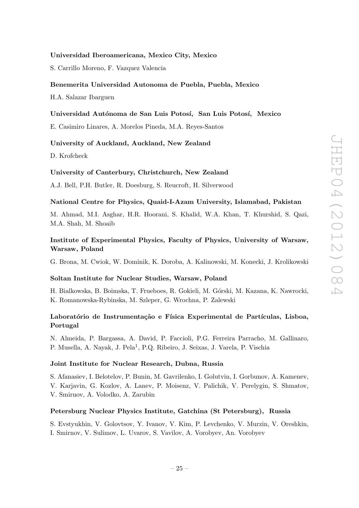#### Universidad Iberoamericana, Mexico City, Mexico

S. Carrillo Moreno, F. Vazquez Valencia

#### Benemerita Universidad Autonoma de Puebla, Puebla, Mexico

H.A. Salazar Ibarguen

#### Universidad Autónoma de San Luis Potosí, San Luis Potosí, Mexico

E. Casimiro Linares, A. Morelos Pineda, M.A. Reyes-Santos

#### University of Auckland, Auckland, New Zealand

D. Krofcheck

#### University of Canterbury, Christchurch, New Zealand

A.J. Bell, P.H. Butler, R. Doesburg, S. Reucroft, H. Silverwood

#### National Centre for Physics, Quaid-I-Azam University, Islamabad, Pakistan

M. Ahmad, M.I. Asghar, H.R. Hoorani, S. Khalid, W.A. Khan, T. Khurshid, S. Qazi, M.A. Shah, M. Shoaib

### Institute of Experimental Physics, Faculty of Physics, University of Warsaw, Warsaw, Poland

G. Brona, M. Cwiok, W. Dominik, K. Doroba, A. Kalinowski, M. Konecki, J. Krolikowski

#### Soltan Institute for Nuclear Studies, Warsaw, Poland

H. Bialkowska, B. Boimska, T. Frueboes, R. Gokieli, M. G´orski, M. Kazana, K. Nawrocki, K. Romanowska-Rybinska, M. Szleper, G. Wrochna, P. Zalewski

### Laboratório de Instrumentação e Física Experimental de Partículas, Lisboa, Portugal

N. Almeida, P. Bargassa, A. David, P. Faccioli, P.G. Ferreira Parracho, M. Gallinaro, P. Musella, A. Nayak, J. Pela<sup>1</sup>, P.Q. Ribeiro, J. Seixas, J. Varela, P. Vischia

#### Joint Institute for Nuclear Research, Dubna, Russia

S. Afanasiev, I. Belotelov, P. Bunin, M. Gavrilenko, I. Golutvin, I. Gorbunov, A. Kamenev, V. Karjavin, G. Kozlov, A. Lanev, P. Moisenz, V. Palichik, V. Perelygin, S. Shmatov, V. Smirnov, A. Volodko, A. Zarubin

#### Petersburg Nuclear Physics Institute, Gatchina (St Petersburg), Russia

S. Evstyukhin, V. Golovtsov, Y. Ivanov, V. Kim, P. Levchenko, V. Murzin, V. Oreshkin, I. Smirnov, V. Sulimov, L. Uvarov, S. Vavilov, A. Vorobyev, An. Vorobyev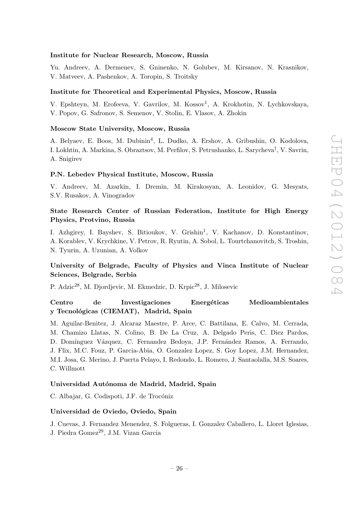#### Institute for Nuclear Research, Moscow, Russia

Yu. Andreev, A. Dermenev, S. Gninenko, N. Golubev, M. Kirsanov, N. Krasnikov, V. Matveev, A. Pashenkov, A. Toropin, S. Troitsky

#### Institute for Theoretical and Experimental Physics, Moscow, Russia

V. Epshteyn, M. Erofeeva, V. Gavrilov, M. Kossov<sup>1</sup>, A. Krokhotin, N. Lychkovskaya, V. Popov, G. Safronov, S. Semenov, V. Stolin, E. Vlasov, A. Zhokin

#### Moscow State University, Moscow, Russia

A. Belyaev, E. Boos, M. Dubinin<sup>4</sup>, L. Dudko, A. Ershov, A. Gribushin, O. Kodolova, I. Lokhtin, A. Markina, S. Obraztsov, M. Perfilov, S. Petrushanko, L. Sarycheva† , V. Savrin, A. Snigirev

#### P.N. Lebedev Physical Institute, Moscow, Russia

V. Andreev, M. Azarkin, I. Dremin, M. Kirakosyan, A. Leonidov, G. Mesyats, S.V. Rusakov, A. Vinogradov

### State Research Center of Russian Federation, Institute for High Energy Physics, Protvino, Russia

I. Azhgirey, I. Bayshev, S. Bitioukov, V. Grishin<sup>1</sup>, V. Kachanov, D. Konstantinov, A. Korablev, V. Krychkine, V. Petrov, R. Ryutin, A. Sobol, L. Tourtchanovitch, S. Troshin, N. Tyurin, A. Uzunian, A. Volkov

### University of Belgrade, Faculty of Physics and Vinca Institute of Nuclear Sciences, Belgrade, Serbia

P. Adzic<sup>28</sup>, M. Djordjevic, M. Ekmedzic, D. Krpic<sup>28</sup>, J. Milosevic

### Centro de Investigaciones Energéticas Medioambientales y Tecnológicas (CIEMAT), Madrid, Spain

M. Aguilar-Benitez, J. Alcaraz Maestre, P. Arce, C. Battilana, E. Calvo, M. Cerrada, M. Chamizo Llatas, N. Colino, B. De La Cruz, A. Delgado Peris, C. Diez Pardos, D. Domínguez Vázquez, C. Fernandez Bedoya, J.P. Fernández Ramos, A. Ferrando, J. Flix, M.C. Fouz, P. Garcia-Abia, O. Gonzalez Lopez, S. Goy Lopez, J.M. Hernandez, M.I. Josa, G. Merino, J. Puerta Pelayo, I. Redondo, L. Romero, J. Santaolalla, M.S. Soares, C. Willmott

#### Universidad Autónoma de Madrid, Madrid, Spain

C. Albajar, G. Codispoti, J.F. de Trocóniz

#### Universidad de Oviedo, Oviedo, Spain

J. Cuevas, J. Fernandez Menendez, S. Folgueras, I. Gonzalez Caballero, L. Lloret Iglesias, J. Piedra Gomez<sup>29</sup>, J.M. Vizan Garcia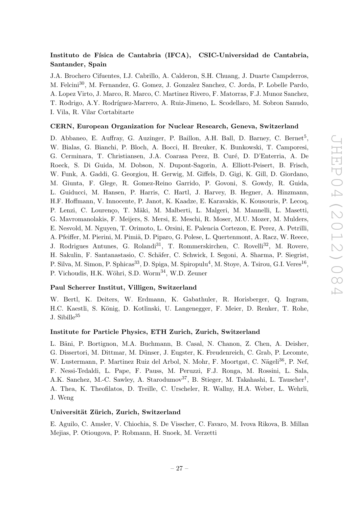### Instituto de Física de Cantabria (IFCA), CSIC-Universidad de Cantabria, Santander, Spain

J.A. Brochero Cifuentes, I.J. Cabrillo, A. Calderon, S.H. Chuang, J. Duarte Campderros, M. Felcini30, M. Fernandez, G. Gomez, J. Gonzalez Sanchez, C. Jorda, P. Lobelle Pardo, A. Lopez Virto, J. Marco, R. Marco, C. Martinez Rivero, F. Matorras, F.J. Munoz Sanchez, T. Rodrigo, A.Y. Rodríguez-Marrero, A. Ruiz-Jimeno, L. Scodellaro, M. Sobron Sanudo, I. Vila, R. Vilar Cortabitarte

#### CERN, European Organization for Nuclear Research, Geneva, Switzerland

D. Abbaneo, E. Auffray, G. Auzinger, P. Baillon, A.H. Ball, D. Barney, C. Bernet<sup>5</sup>, W. Bialas, G. Bianchi, P. Bloch, A. Bocci, H. Breuker, K. Bunkowski, T. Camporesi, G. Cerminara, T. Christiansen, J.A. Coarasa Perez, B. Curé, D. D'Enterria, A. De Roeck, S. Di Guida, M. Dobson, N. Dupont-Sagorin, A. Elliott-Peisert, B. Frisch, W. Funk, A. Gaddi, G. Georgiou, H. Gerwig, M. Giffels, D. Gigi, K. Gill, D. Giordano, M. Giunta, F. Glege, R. Gomez-Reino Garrido, P. Govoni, S. Gowdy, R. Guida, L. Guiducci, M. Hansen, P. Harris, C. Hartl, J. Harvey, B. Hegner, A. Hinzmann, H.F. Hoffmann, V. Innocente, P. Janot, K. Kaadze, E. Karavakis, K. Kousouris, P. Lecoq, P. Lenzi, C. Lourenço, T. Mäki, M. Malberti, L. Malgeri, M. Mannelli, L. Masetti, G. Mavromanolakis, F. Meijers, S. Mersi, E. Meschi, R. Moser, M.U. Mozer, M. Mulders, E. Nesvold, M. Nguyen, T. Orimoto, L. Orsini, E. Palencia Cortezon, E. Perez, A. Petrilli, A. Pfeiffer, M. Pierini, M. Pimiä, D. Piparo, G. Polese, L. Quertenmont, A. Racz, W. Reece, J. Rodrigues Antunes, G. Rolandi<sup>31</sup>, T. Rommerskirchen, C. Rovelli<sup>32</sup>, M. Rovere, H. Sakulin, F. Santanastasio, C. Schäfer, C. Schwick, I. Segoni, A. Sharma, P. Siegrist, P. Silva, M. Simon, P. Sphicas<sup>33</sup>, D. Spiga, M. Spiropulu<sup>4</sup>, M. Stoye, A. Tsirou, G.I. Veres<sup>16</sup>, P. Vichoudis, H.K. Wöhri, S.D. Worm<sup>34</sup>, W.D. Zeuner

#### Paul Scherrer Institut, Villigen, Switzerland

W. Bertl, K. Deiters, W. Erdmann, K. Gabathuler, R. Horisberger, Q. Ingram, H.C. Kaestli, S. König, D. Kotlinski, U. Langenegger, F. Meier, D. Renker, T. Rohe, J. Sibille<sup>35</sup>

#### Institute for Particle Physics, ETH Zurich, Zurich, Switzerland

L. Bäni, P. Bortignon, M.A. Buchmann, B. Casal, N. Chanon, Z. Chen, A. Deisher, G. Dissertori, M. Dittmar, M. Dünser, J. Eugster, K. Freudenreich, C. Grab, P. Lecomte, W. Lustermann, P. Martinez Ruiz del Arbol, N. Mohr, F. Moortgat, C. Nägeli<sup>36</sup>, P. Nef, F. Nessi-Tedaldi, L. Pape, F. Pauss, M. Peruzzi, F.J. Ronga, M. Rossini, L. Sala, A.K. Sanchez, M.-C. Sawley, A. Starodumov<sup>37</sup>, B. Stieger, M. Takahashi, L. Tauscher<sup>†</sup>, A. Thea, K. Theofilatos, D. Treille, C. Urscheler, R. Wallny, H.A. Weber, L. Wehrli, J. Weng

#### Universität Zürich, Zurich, Switzerland

E. Aguilo, C. Amsler, V. Chiochia, S. De Visscher, C. Favaro, M. Ivova Rikova, B. Millan Mejias, P. Otiougova, P. Robmann, H. Snoek, M. Verzetti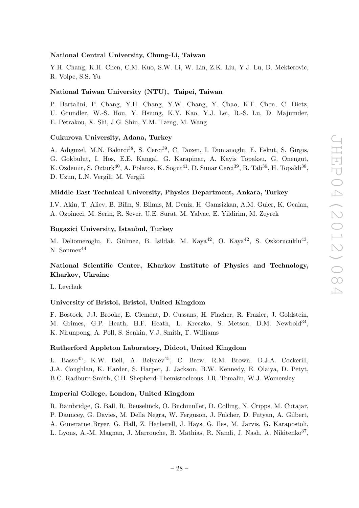#### National Central University, Chung-Li, Taiwan

Y.H. Chang, K.H. Chen, C.M. Kuo, S.W. Li, W. Lin, Z.K. Liu, Y.J. Lu, D. Mekterovic, R. Volpe, S.S. Yu

#### National Taiwan University (NTU), Taipei, Taiwan

P. Bartalini, P. Chang, Y.H. Chang, Y.W. Chang, Y. Chao, K.F. Chen, C. Dietz, U. Grundler, W.-S. Hou, Y. Hsiung, K.Y. Kao, Y.J. Lei, R.-S. Lu, D. Majumder, E. Petrakou, X. Shi, J.G. Shiu, Y.M. Tzeng, M. Wang

#### Cukurova University, Adana, Turkey

A. Adiguzel, M.N. Bakirci<sup>38</sup>, S. Cerci<sup>39</sup>, C. Dozen, I. Dumanoglu, E. Eskut, S. Girgis, G. Gokbulut, I. Hos, E.E. Kangal, G. Karapinar, A. Kayis Topaksu, G. Onengut, K. Ozdemir, S. Ozturk<sup>40</sup>, A. Polatoz, K. Sogut<sup>41</sup>, D. Sunar Cerci<sup>39</sup>, B. Tali<sup>39</sup>, H. Topakli<sup>38</sup>, D. Uzun, L.N. Vergili, M. Vergili

#### Middle East Technical University, Physics Department, Ankara, Turkey

I.V. Akin, T. Aliev, B. Bilin, S. Bilmis, M. Deniz, H. Gamsizkan, A.M. Guler, K. Ocalan, A. Ozpineci, M. Serin, R. Sever, U.E. Surat, M. Yalvac, E. Yildirim, M. Zeyrek

#### Bogazici University, Istanbul, Turkey

M. Deliomeroglu, E. Gülmez, B. Isildak, M. Kaya<sup>42</sup>, O. Kaya<sup>42</sup>, S. Ozkorucuklu<sup>43</sup>, N. Sonmez<sup>44</sup>

### National Scientific Center, Kharkov Institute of Physics and Technology, Kharkov, Ukraine

L. Levchuk

#### University of Bristol, Bristol, United Kingdom

F. Bostock, J.J. Brooke, E. Clement, D. Cussans, H. Flacher, R. Frazier, J. Goldstein, M. Grimes, G.P. Heath, H.F. Heath, L. Kreczko, S. Metson, D.M. Newbold<sup>34</sup>, K. Nirunpong, A. Poll, S. Senkin, V.J. Smith, T. Williams

#### Rutherford Appleton Laboratory, Didcot, United Kingdom

L. Basso<sup>45</sup>, K.W. Bell, A. Belvaev<sup>45</sup>, C. Brew, R.M. Brown, D.J.A. Cockerill, J.A. Coughlan, K. Harder, S. Harper, J. Jackson, B.W. Kennedy, E. Olaiya, D. Petyt, B.C. Radburn-Smith, C.H. Shepherd-Themistocleous, I.R. Tomalin, W.J. Womersley

#### Imperial College, London, United Kingdom

R. Bainbridge, G. Ball, R. Beuselinck, O. Buchmuller, D. Colling, N. Cripps, M. Cutajar, P. Dauncey, G. Davies, M. Della Negra, W. Ferguson, J. Fulcher, D. Futyan, A. Gilbert, A. Guneratne Bryer, G. Hall, Z. Hatherell, J. Hays, G. Iles, M. Jarvis, G. Karapostoli, L. Lyons, A.-M. Magnan, J. Marrouche, B. Mathias, R. Nandi, J. Nash, A. Nikitenko<sup>37</sup>,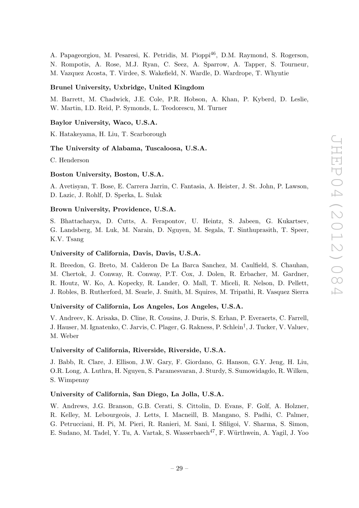A. Papageorgiou, M. Pesaresi, K. Petridis, M. Pioppi<sup>46</sup>, D.M. Raymond, S. Rogerson, N. Rompotis, A. Rose, M.J. Ryan, C. Seez, A. Sparrow, A. Tapper, S. Tourneur, M. Vazquez Acosta, T. Virdee, S. Wakefield, N. Wardle, D. Wardrope, T. Whyntie

#### Brunel University, Uxbridge, United Kingdom

M. Barrett, M. Chadwick, J.E. Cole, P.R. Hobson, A. Khan, P. Kyberd, D. Leslie, W. Martin, I.D. Reid, P. Symonds, L. Teodorescu, M. Turner

#### Baylor University, Waco, U.S.A.

K. Hatakeyama, H. Liu, T. Scarborough

#### The University of Alabama, Tuscaloosa, U.S.A.

C. Henderson

#### Boston University, Boston, U.S.A.

A. Avetisyan, T. Bose, E. Carrera Jarrin, C. Fantasia, A. Heister, J. St. John, P. Lawson, D. Lazic, J. Rohlf, D. Sperka, L. Sulak

#### Brown University, Providence, U.S.A.

S. Bhattacharya, D. Cutts, A. Ferapontov, U. Heintz, S. Jabeen, G. Kukartsev, G. Landsberg, M. Luk, M. Narain, D. Nguyen, M. Segala, T. Sinthuprasith, T. Speer, K.V. Tsang

#### University of California, Davis, Davis, U.S.A.

R. Breedon, G. Breto, M. Calderon De La Barca Sanchez, M. Caulfield, S. Chauhan, M. Chertok, J. Conway, R. Conway, P.T. Cox, J. Dolen, R. Erbacher, M. Gardner, R. Houtz, W. Ko, A. Kopecky, R. Lander, O. Mall, T. Miceli, R. Nelson, D. Pellett, J. Robles, B. Rutherford, M. Searle, J. Smith, M. Squires, M. Tripathi, R. Vasquez Sierra

#### University of California, Los Angeles, Los Angeles, U.S.A.

V. Andreev, K. Arisaka, D. Cline, R. Cousins, J. Duris, S. Erhan, P. Everaerts, C. Farrell, J. Hauser, M. Ignatenko, C. Jarvis, C. Plager, G. Rakness, P. Schlein† , J. Tucker, V. Valuev, M. Weber

#### University of California, Riverside, Riverside, U.S.A.

J. Babb, R. Clare, J. Ellison, J.W. Gary, F. Giordano, G. Hanson, G.Y. Jeng, H. Liu, O.R. Long, A. Luthra, H. Nguyen, S. Paramesvaran, J. Sturdy, S. Sumowidagdo, R. Wilken, S. Wimpenny

#### University of California, San Diego, La Jolla, U.S.A.

W. Andrews, J.G. Branson, G.B. Cerati, S. Cittolin, D. Evans, F. Golf, A. Holzner, R. Kelley, M. Lebourgeois, J. Letts, I. Macneill, B. Mangano, S. Padhi, C. Palmer, G. Petrucciani, H. Pi, M. Pieri, R. Ranieri, M. Sani, I. Sfiligoi, V. Sharma, S. Simon, E. Sudano, M. Tadel, Y. Tu, A. Vartak, S. Wasserbaech<sup>47</sup>, F. Würthwein, A. Yagil, J. Yoo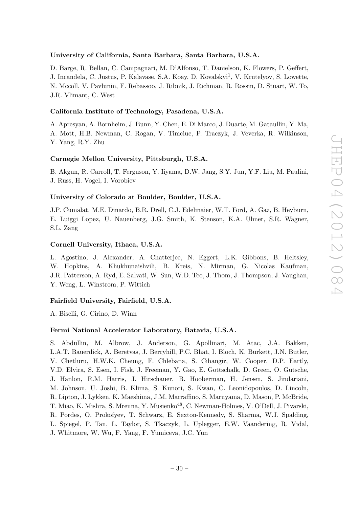#### University of California, Santa Barbara, Santa Barbara, U.S.A.

D. Barge, R. Bellan, C. Campagnari, M. D'Alfonso, T. Danielson, K. Flowers, P. Geffert, J. Incandela, C. Justus, P. Kalavase, S.A. Koay, D. Kovalskyi<sup>1</sup>, V. Krutelyov, S. Lowette, N. Mccoll, V. Pavlunin, F. Rebassoo, J. Ribnik, J. Richman, R. Rossin, D. Stuart, W. To, J.R. Vlimant, C. West

#### California Institute of Technology, Pasadena, U.S.A.

A. Apresyan, A. Bornheim, J. Bunn, Y. Chen, E. Di Marco, J. Duarte, M. Gataullin, Y. Ma, A. Mott, H.B. Newman, C. Rogan, V. Timciuc, P. Traczyk, J. Veverka, R. Wilkinson, Y. Yang, R.Y. Zhu

#### Carnegie Mellon University, Pittsburgh, U.S.A.

B. Akgun, R. Carroll, T. Ferguson, Y. Iiyama, D.W. Jang, S.Y. Jun, Y.F. Liu, M. Paulini, J. Russ, H. Vogel, I. Vorobiev

#### University of Colorado at Boulder, Boulder, U.S.A.

J.P. Cumalat, M.E. Dinardo, B.R. Drell, C.J. Edelmaier, W.T. Ford, A. Gaz, B. Heyburn, E. Luiggi Lopez, U. Nauenberg, J.G. Smith, K. Stenson, K.A. Ulmer, S.R. Wagner, S.L. Zang

### Cornell University, Ithaca, U.S.A.

L. Agostino, J. Alexander, A. Chatterjee, N. Eggert, L.K. Gibbons, B. Heltsley, W. Hopkins, A. Khukhunaishvili, B. Kreis, N. Mirman, G. Nicolas Kaufman, J.R. Patterson, A. Ryd, E. Salvati, W. Sun, W.D. Teo, J. Thom, J. Thompson, J. Vaughan, Y. Weng, L. Winstrom, P. Wittich

#### Fairfield University, Fairfield, U.S.A.

A. Biselli, G. Cirino, D. Winn

#### Fermi National Accelerator Laboratory, Batavia, U.S.A.

S. Abdullin, M. Albrow, J. Anderson, G. Apollinari, M. Atac, J.A. Bakken, L.A.T. Bauerdick, A. Beretvas, J. Berryhill, P.C. Bhat, I. Bloch, K. Burkett, J.N. Butler, V. Chetluru, H.W.K. Cheung, F. Chlebana, S. Cihangir, W. Cooper, D.P. Eartly, V.D. Elvira, S. Esen, I. Fisk, J. Freeman, Y. Gao, E. Gottschalk, D. Green, O. Gutsche, J. Hanlon, R.M. Harris, J. Hirschauer, B. Hooberman, H. Jensen, S. Jindariani, M. Johnson, U. Joshi, B. Klima, S. Kunori, S. Kwan, C. Leonidopoulos, D. Lincoln, R. Lipton, J. Lykken, K. Maeshima, J.M. Marraffino, S. Maruyama, D. Mason, P. McBride, T. Miao, K. Mishra, S. Mrenna, Y. Musienko<sup>48</sup>, C. Newman-Holmes, V. O'Dell, J. Pivarski, R. Pordes, O. Prokofyev, T. Schwarz, E. Sexton-Kennedy, S. Sharma, W.J. Spalding, L. Spiegel, P. Tan, L. Taylor, S. Tkaczyk, L. Uplegger, E.W. Vaandering, R. Vidal, J. Whitmore, W. Wu, F. Yang, F. Yumiceva, J.C. Yun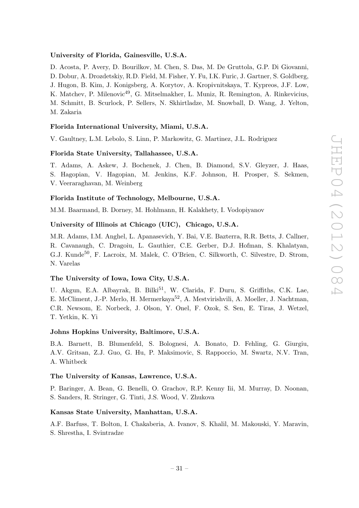#### University of Florida, Gainesville, U.S.A.

D. Acosta, P. Avery, D. Bourilkov, M. Chen, S. Das, M. De Gruttola, G.P. Di Giovanni, D. Dobur, A. Drozdetskiy, R.D. Field, M. Fisher, Y. Fu, I.K. Furic, J. Gartner, S. Goldberg, J. Hugon, B. Kim, J. Konigsberg, A. Korytov, A. Kropivnitskaya, T. Kypreos, J.F. Low, K. Matchev, P. Milenovic<sup>49</sup>, G. Mitselmakher, L. Muniz, R. Remington, A. Rinkevicius, M. Schmitt, B. Scurlock, P. Sellers, N. Skhirtladze, M. Snowball, D. Wang, J. Yelton, M. Zakaria

#### Florida International University, Miami, U.S.A.

V. Gaultney, L.M. Lebolo, S. Linn, P. Markowitz, G. Martinez, J.L. Rodriguez

#### Florida State University, Tallahassee, U.S.A.

T. Adams, A. Askew, J. Bochenek, J. Chen, B. Diamond, S.V. Gleyzer, J. Haas, S. Hagopian, V. Hagopian, M. Jenkins, K.F. Johnson, H. Prosper, S. Sekmen, V. Veeraraghavan, M. Weinberg

#### Florida Institute of Technology, Melbourne, U.S.A.

M.M. Baarmand, B. Dorney, M. Hohlmann, H. Kalakhety, I. Vodopiyanov

#### University of Illinois at Chicago (UIC), Chicago, U.S.A.

M.R. Adams, I.M. Anghel, L. Apanasevich, Y. Bai, V.E. Bazterra, R.R. Betts, J. Callner, R. Cavanaugh, C. Dragoiu, L. Gauthier, C.E. Gerber, D.J. Hofman, S. Khalatyan, G.J. Kunde<sup>50</sup>, F. Lacroix, M. Malek, C. O'Brien, C. Silkworth, C. Silvestre, D. Strom, N. Varelas

#### The University of Iowa, Iowa City, U.S.A.

U. Akgun, E.A. Albayrak, B. Bilki<sup>51</sup>, W. Clarida, F. Duru, S. Griffiths, C.K. Lae, E. McCliment, J.-P. Merlo, H. Mermerkaya<sup>52</sup>, A. Mestvirishvili, A. Moeller, J. Nachtman, C.R. Newsom, E. Norbeck, J. Olson, Y. Onel, F. Ozok, S. Sen, E. Tiras, J. Wetzel, T. Yetkin, K. Yi

#### Johns Hopkins University, Baltimore, U.S.A.

B.A. Barnett, B. Blumenfeld, S. Bolognesi, A. Bonato, D. Fehling, G. Giurgiu, A.V. Gritsan, Z.J. Guo, G. Hu, P. Maksimovic, S. Rappoccio, M. Swartz, N.V. Tran, A. Whitbeck

#### The University of Kansas, Lawrence, U.S.A.

P. Baringer, A. Bean, G. Benelli, O. Grachov, R.P. Kenny Iii, M. Murray, D. Noonan, S. Sanders, R. Stringer, G. Tinti, J.S. Wood, V. Zhukova

#### Kansas State University, Manhattan, U.S.A.

A.F. Barfuss, T. Bolton, I. Chakaberia, A. Ivanov, S. Khalil, M. Makouski, Y. Maravin, S. Shrestha, I. Svintradze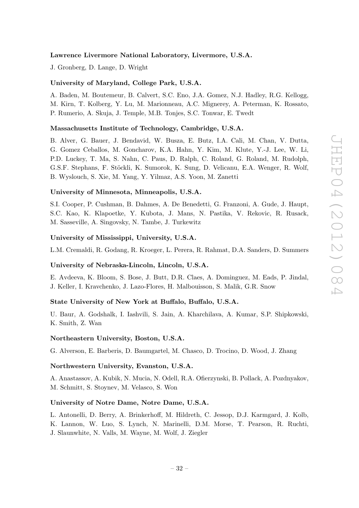#### Lawrence Livermore National Laboratory, Livermore, U.S.A.

J. Gronberg, D. Lange, D. Wright

#### University of Maryland, College Park, U.S.A.

A. Baden, M. Boutemeur, B. Calvert, S.C. Eno, J.A. Gomez, N.J. Hadley, R.G. Kellogg, M. Kirn, T. Kolberg, Y. Lu, M. Marionneau, A.C. Mignerey, A. Peterman, K. Rossato, P. Rumerio, A. Skuja, J. Temple, M.B. Tonjes, S.C. Tonwar, E. Twedt

#### Massachusetts Institute of Technology, Cambridge, U.S.A.

B. Alver, G. Bauer, J. Bendavid, W. Busza, E. Butz, I.A. Cali, M. Chan, V. Dutta, G. Gomez Ceballos, M. Goncharov, K.A. Hahn, Y. Kim, M. Klute, Y.-J. Lee, W. Li, P.D. Luckey, T. Ma, S. Nahn, C. Paus, D. Ralph, C. Roland, G. Roland, M. Rudolph, G.S.F. Stephans, F. Stöckli, K. Sumorok, K. Sung, D. Velicanu, E.A. Wenger, R. Wolf, B. Wyslouch, S. Xie, M. Yang, Y. Yilmaz, A.S. Yoon, M. Zanetti

#### University of Minnesota, Minneapolis, U.S.A.

S.I. Cooper, P. Cushman, B. Dahmes, A. De Benedetti, G. Franzoni, A. Gude, J. Haupt, S.C. Kao, K. Klapoetke, Y. Kubota, J. Mans, N. Pastika, V. Rekovic, R. Rusack, M. Sasseville, A. Singovsky, N. Tambe, J. Turkewitz

#### University of Mississippi, University, U.S.A.

L.M. Cremaldi, R. Godang, R. Kroeger, L. Perera, R. Rahmat, D.A. Sanders, D. Summers

#### University of Nebraska-Lincoln, Lincoln, U.S.A.

E. Avdeeva, K. Bloom, S. Bose, J. Butt, D.R. Claes, A. Dominguez, M. Eads, P. Jindal, J. Keller, I. Kravchenko, J. Lazo-Flores, H. Malbouisson, S. Malik, G.R. Snow

#### State University of New York at Buffalo, Buffalo, U.S.A.

U. Baur, A. Godshalk, I. Iashvili, S. Jain, A. Kharchilava, A. Kumar, S.P. Shipkowski, K. Smith, Z. Wan

#### Northeastern University, Boston, U.S.A.

G. Alverson, E. Barberis, D. Baumgartel, M. Chasco, D. Trocino, D. Wood, J. Zhang

#### Northwestern University, Evanston, U.S.A.

A. Anastassov, A. Kubik, N. Mucia, N. Odell, R.A. Ofierzynski, B. Pollack, A. Pozdnyakov, M. Schmitt, S. Stoynev, M. Velasco, S. Won

#### University of Notre Dame, Notre Dame, U.S.A.

L. Antonelli, D. Berry, A. Brinkerhoff, M. Hildreth, C. Jessop, D.J. Karmgard, J. Kolb, K. Lannon, W. Luo, S. Lynch, N. Marinelli, D.M. Morse, T. Pearson, R. Ruchti, J. Slaunwhite, N. Valls, M. Wayne, M. Wolf, J. Ziegler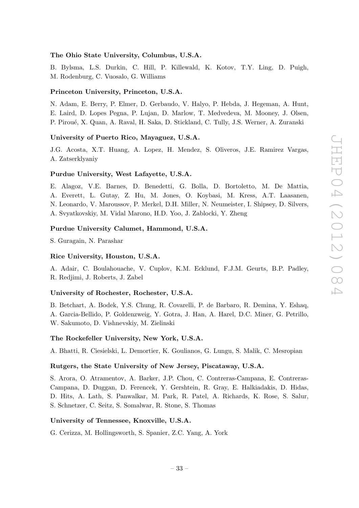#### The Ohio State University, Columbus, U.S.A.

B. Bylsma, L.S. Durkin, C. Hill, P. Killewald, K. Kotov, T.Y. Ling, D. Puigh, M. Rodenburg, C. Vuosalo, G. Williams

#### Princeton University, Princeton, U.S.A.

N. Adam, E. Berry, P. Elmer, D. Gerbaudo, V. Halyo, P. Hebda, J. Hegeman, A. Hunt, E. Laird, D. Lopes Pegna, P. Lujan, D. Marlow, T. Medvedeva, M. Mooney, J. Olsen, P. Piroué, X. Quan, A. Raval, H. Saka, D. Stickland, C. Tully, J.S. Werner, A. Zuranski

#### University of Puerto Rico, Mayaguez, U.S.A.

J.G. Acosta, X.T. Huang, A. Lopez, H. Mendez, S. Oliveros, J.E. Ramirez Vargas, A. Zatserklyaniy

#### Purdue University, West Lafayette, U.S.A.

E. Alagoz, V.E. Barnes, D. Benedetti, G. Bolla, D. Bortoletto, M. De Mattia, A. Everett, L. Gutay, Z. Hu, M. Jones, O. Koybasi, M. Kress, A.T. Laasanen, N. Leonardo, V. Maroussov, P. Merkel, D.H. Miller, N. Neumeister, I. Shipsey, D. Silvers, A. Svyatkovskiy, M. Vidal Marono, H.D. Yoo, J. Zablocki, Y. Zheng

#### Purdue University Calumet, Hammond, U.S.A.

S. Guragain, N. Parashar

#### Rice University, Houston, U.S.A.

A. Adair, C. Boulahouache, V. Cuplov, K.M. Ecklund, F.J.M. Geurts, B.P. Padley, R. Redjimi, J. Roberts, J. Zabel

#### University of Rochester, Rochester, U.S.A.

B. Betchart, A. Bodek, Y.S. Chung, R. Covarelli, P. de Barbaro, R. Demina, Y. Eshaq, A. Garcia-Bellido, P. Goldenzweig, Y. Gotra, J. Han, A. Harel, D.C. Miner, G. Petrillo, W. Sakumoto, D. Vishnevskiy, M. Zielinski

#### The Rockefeller University, New York, U.S.A.

A. Bhatti, R. Ciesielski, L. Demortier, K. Goulianos, G. Lungu, S. Malik, C. Mesropian

#### Rutgers, the State University of New Jersey, Piscataway, U.S.A.

S. Arora, O. Atramentov, A. Barker, J.P. Chou, C. Contreras-Campana, E. Contreras-Campana, D. Duggan, D. Ferencek, Y. Gershtein, R. Gray, E. Halkiadakis, D. Hidas, D. Hits, A. Lath, S. Panwalkar, M. Park, R. Patel, A. Richards, K. Rose, S. Salur, S. Schnetzer, C. Seitz, S. Somalwar, R. Stone, S. Thomas

#### University of Tennessee, Knoxville, U.S.A.

G. Cerizza, M. Hollingsworth, S. Spanier, Z.C. Yang, A. York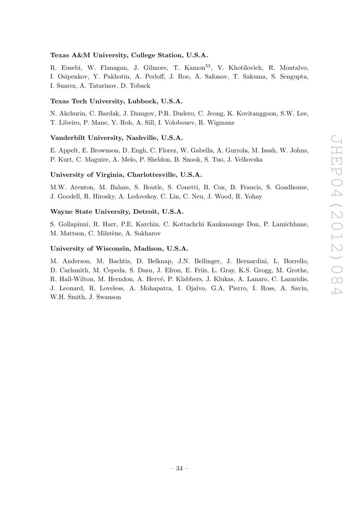#### Texas A&M University, College Station, U.S.A.

R. Eusebi, W. Flanagan, J. Gilmore, T. Kamon<sup>53</sup>, V. Khotilovich, R. Montalvo, I. Osipenkov, Y. Pakhotin, A. Perloff, J. Roe, A. Safonov, T. Sakuma, S. Sengupta, I. Suarez, A. Tatarinov, D. Toback

#### Texas Tech University, Lubbock, U.S.A.

N. Akchurin, C. Bardak, J. Damgov, P.R. Dudero, C. Jeong, K. Kovitanggoon, S.W. Lee, T. Libeiro, P. Mane, Y. Roh, A. Sill, I. Volobouev, R. Wigmans

#### Vanderbilt University, Nashville, U.S.A.

E. Appelt, E. Brownson, D. Engh, C. Florez, W. Gabella, A. Gurrola, M. Issah, W. Johns, P. Kurt, C. Maguire, A. Melo, P. Sheldon, B. Snook, S. Tuo, J. Velkovska

#### University of Virginia, Charlottesville, U.S.A.

M.W. Arenton, M. Balazs, S. Boutle, S. Conetti, B. Cox, B. Francis, S. Goadhouse, J. Goodell, R. Hirosky, A. Ledovskoy, C. Lin, C. Neu, J. Wood, R. Yohay

#### Wayne State University, Detroit, U.S.A.

S. Gollapinni, R. Harr, P.E. Karchin, C. Kottachchi Kankanamge Don, P. Lamichhane, M. Mattson, C. Milstène, A. Sakharov

#### University of Wisconsin, Madison, U.S.A.

M. Anderson, M. Bachtis, D. Belknap, J.N. Bellinger, J. Bernardini, L. Borrello, D. Carlsmith, M. Cepeda, S. Dasu, J. Efron, E. Friis, L. Gray, K.S. Grogg, M. Grothe, R. Hall-Wilton, M. Herndon, A. Hervé, P. Klabbers, J. Klukas, A. Lanaro, C. Lazaridis, J. Leonard, R. Loveless, A. Mohapatra, I. Ojalvo, G.A. Pierro, I. Ross, A. Savin, W.H. Smith, J. Swanson